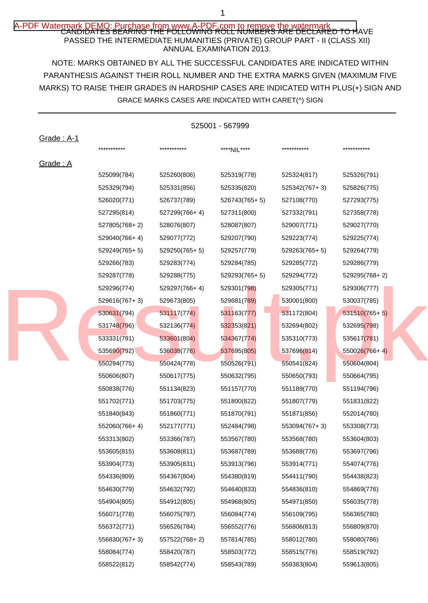# A-PDF Watermark DEMO: Purchase from www.A-PDF,com to remove the watermark<br>CANDIDATES BEARING THE FOLLOWING ROLL NUMBERS ARE DECLARED TO HAVE PASSED THE INTERMEDIATE HUMANITIES (PRIVATE) GROUP PART - II (CLASS XII) ANNUAL EXAMINATION 2013.

NOTE: MARKS OBTAINED BY ALL THE SUCCESSFUL CANDIDATES ARE INDICATED WITHIN MARKS) TO RAISE THEIR GRADES IN HARDSHIP CASES ARE INDICATED WITH PLUS(+) SIGN AND PARANTHESIS AGAINST THEIR ROLL NUMBER AND THE EXTRA MARKS GIVEN (MAXIMUM FIVE GRACE MARKS CASES ARE INDICATED WITH CARET(^) SIGN

|                   |               |                 | 525001 - 567999 |               |                 |
|-------------------|---------------|-----------------|-----------------|---------------|-----------------|
| <b>Grade: A-1</b> | ***********   | ***********     | ****NIL****     | ***********   | ***********     |
| Grade: A          |               |                 |                 |               |                 |
|                   | 525099(784)   | 525260(806)     | 525319(778)     | 525324(817)   | 525326(791)     |
|                   | 525329(794)   | 525331(856)     | 525335(820)     | 525342(767+3) | 525826(775)     |
|                   | 526020(771)   | 526737(789)     | 526743(765+5)   | 527108(770)   | 527293(775)     |
|                   | 527295(814)   | 527299(766+4)   | 527311(800)     | 527332(791)   | 527358(778)     |
|                   | 527805(768+2) | 528076(807)     | 528087(807)     | 529007(771)   | 529027(770)     |
|                   | 529040(766+4) | 529077(772)     | 529207(790)     | 529223(774)   | 529225(774)     |
|                   | 529249(765+5) | $529250(765+5)$ | 529257(779)     | 529263(765+5) | 529264(779)     |
|                   | 529266(783)   | 529283(774)     | 529284(785)     | 529285(772)   | 529286(779)     |
|                   | 529287(778)   | 529288(775)     | 529293(765+5)   | 529294(772)   | 529295(768+2)   |
|                   | 529296(774)   | 529297(766+4)   | 529301(798)     | 529305(771)   | 529306(777)     |
|                   | 529616(767+3) | 529673(805)     | 529681(789)     | 530001(800)   | 530037(785)     |
|                   | 530631(794)   | 531117(774)     | 531163(777)     | 531172(804)   | $531510(765+5)$ |
|                   | 531748(796)   | 532136(774)     | 532353(821)     | 532694(802)   | 532695(798)     |
|                   | 533331(791)   | 533601(804)     | 534367(774)     | 535310(773)   | 535617(781)     |
|                   | 535690(792)   | 536038(776)     | 537695(805)     | 537696(814)   | $550026(766+4)$ |
|                   | 550294(775)   | 550424(778)     | 550526(791)     | 550541(824)   | 550604(804)     |
|                   | 550606(807)   | 550617(775)     | 550632(795)     | 550650(793)   | 550664(795)     |
|                   | 550838(776)   | 551134(823)     | 551157(770)     | 551189(770)   | 551194(796)     |
|                   | 551702(771)   | 551703(775)     | 551800(822)     | 551807(779)   | 551831(822)     |
|                   | 551840(843)   | 551860(771)     | 551870(791)     | 551871(856)   | 552014(780)     |
|                   | 552060(766+4) | 552177(771)     | 552484(798)     | 553094(767+3) | 553308(773)     |
|                   | 553313(802)   | 553366(787)     | 553567(780)     | 553568(780)   | 553604(803)     |
|                   | 553605(815)   | 553608(811)     | 553687(789)     | 553688(776)   | 553697(796)     |
|                   | 553904(773)   | 553905(831)     | 553913(796)     | 553914(771)   | 554074(776)     |
|                   | 554336(809)   | 554367(804)     | 554380(819)     | 554411(790)   | 554438(823)     |
|                   | 554630(779)   | 554632(792)     | 554640(833)     | 554836(810)   | 554869(776)     |
|                   | 554904(805)   | 554912(805)     | 554968(805)     | 554971(850)   | 556035(778)     |
|                   | 556071(778)   | 556075(797)     | 556084(774)     | 556109(795)   | 556365(780)     |
|                   | 556372(771)   | 556526(784)     | 556552(776)     | 556806(813)   | 556809(870)     |
|                   | 556830(767+3) | 557522(768+2)   | 557814(785)     | 558012(780)   | 558080(786)     |
|                   | 558084(774)   | 558420(787)     | 558503(772)     | 558515(776)   | 558519(792)     |
|                   | 558522(812)   | 558542(774)     | 558543(789)     | 559383(804)   | 559613(805)     |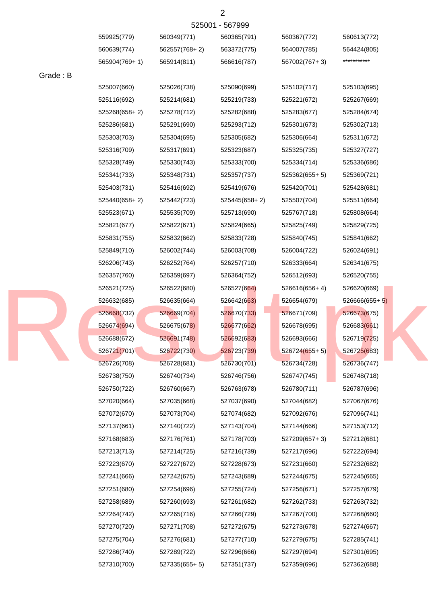|           | 559925(779)   | 560349(771)     | 560365(791)   | 560367(772)     | 560613(772)     |
|-----------|---------------|-----------------|---------------|-----------------|-----------------|
|           | 560639(774)   | 562557(768+2)   | 563372(775)   | 564007(785)     | 564424(805)     |
|           | 565904(769+1) | 565914(811)     | 566616(787)   | 567002(767+3)   | ***********     |
| Grade : B |               |                 |               |                 |                 |
|           | 525007(660)   | 525026(738)     | 525090(699)   | 525102(717)     | 525103(695)     |
|           | 525116(692)   | 525214(681)     | 525219(733)   | 525221(672)     | 525267(669)     |
|           | 525268(658+2) | 525278(712)     | 525282(688)   | 525283(677)     | 525284(674)     |
|           | 525286(681)   | 525291(690)     | 525293(712)   | 525301(673)     | 525302(713)     |
|           | 525303(703)   | 525304(695)     | 525305(682)   | 525306(664)     | 525311(672)     |
|           | 525316(709)   | 525317(691)     | 525323(687)   | 525325(735)     | 525327(727)     |
|           | 525328(749)   | 525330(743)     | 525333(700)   | 525334(714)     | 525336(686)     |
|           | 525341(733)   | 525348(731)     | 525357(737)   | $525362(655+5)$ | 525369(721)     |
|           | 525403(731)   | 525416(692)     | 525419(676)   | 525420(701)     | 525428(681)     |
|           | 525440(658+2) | 525442(723)     | 525445(658+2) | 525507(704)     | 525511(664)     |
|           | 525523(671)   | 525535(709)     | 525713(690)   | 525767(718)     | 525808(664)     |
|           | 525821(677)   | 525822(671)     | 525824(665)   | 525825(749)     | 525829(725)     |
|           | 525831(755)   | 525832(662)     | 525833(728)   | 525840(745)     | 525841(662)     |
|           | 525849(710)   | 526002(744)     | 526003(708)   | 526004(722)     | 526024(691)     |
|           | 526206(743)   | 526252(764)     | 526257(710)   | 526333(664)     | 526341(675)     |
|           | 526357(760)   | 526359(697)     | 526364(752)   | 526512(693)     | 526520(755)     |
|           | 526521(725)   | 526522(680)     | 526527(664)   | 526616(656+4)   | 526620(669)     |
|           | 526632(685)   | 526635(664)     | 526642(663)   | 526654(679)     | $526666(655+5)$ |
|           | 526668(732)   | 526669(704)     | 526670(733)   | 526671(709)     | 526673(675)     |
|           | 526674(694)   | 526675(678)     | 526677(662)   | 526678(695)     | 526683(661)     |
|           | 526688(672)   | 526691(748)     | 526692(683)   | 526693(666)     | 526719(725)     |
|           | 526721(701)   | 526722(730)     | 526723(739)   | $526724(655+5)$ | 526725(683)     |
|           | 526726(708)   | 526728(681)     | 526730(701)   | 526734(728)     | 526736(747)     |
|           | 526738(750)   | 526740(734)     | 526746(756)   | 526747(745)     | 526748(718)     |
|           | 526750(722)   | 526760(667)     | 526763(678)   | 526780(711)     | 526787(696)     |
|           | 527020(664)   | 527035(668)     | 527037(690)   | 527044(682)     | 527067(676)     |
|           | 527072(670)   | 527073(704)     | 527074(682)   | 527092(676)     | 527096(741)     |
|           | 527137(661)   | 527140(722)     | 527143(704)   | 527144(666)     | 527153(712)     |
|           | 527168(683)   | 527176(761)     | 527178(703)   | 527209(657+3)   | 527212(681)     |
|           | 527213(713)   | 527214(725)     | 527216(739)   | 527217(696)     | 527222(694)     |
|           | 527223(670)   | 527227(672)     | 527228(673)   | 527231(660)     | 527232(682)     |
|           | 527241(666)   | 527242(675)     | 527243(689)   | 527244(675)     | 527245(665)     |
|           | 527251(680)   | 527254(696)     | 527255(724)   | 527256(671)     | 527257(679)     |
|           | 527258(689)   | 527260(693)     | 527261(682)   | 527262(733)     | 527263(732)     |
|           | 527264(742)   | 527265(716)     | 527266(729)   | 527267(700)     | 527268(660)     |
|           | 527270(720)   | 527271(708)     | 527272(675)   | 527273(678)     | 527274(667)     |
|           | 527275(704)   | 527276(681)     | 527277(710)   | 527279(675)     | 527285(741)     |
|           | 527286(740)   | 527289(722)     | 527296(666)   | 527297(694)     | 527301(695)     |
|           | 527310(700)   | $527335(655+5)$ | 527351(737)   | 527359(696)     | 527362(688)     |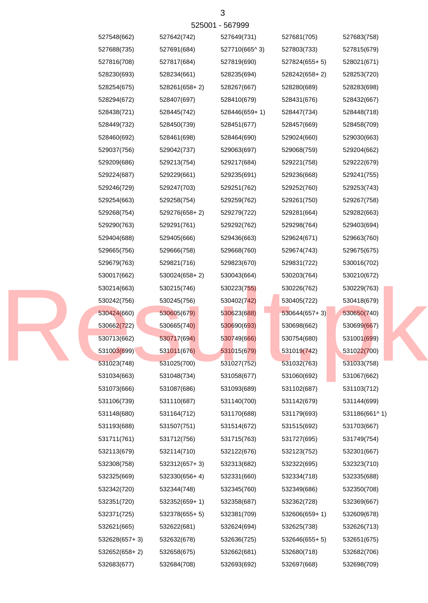| 527548(662)   | 527642(742)   | 527649(731)   | 527681(705)     | 527683(758)   |
|---------------|---------------|---------------|-----------------|---------------|
| 527688(735)   | 527691(684)   | 527710(665^3) | 527803(733)     | 527815(679)   |
| 527816(708)   | 527817(684)   | 527819(690)   | 527824(655+5)   | 528021(671)   |
| 528230(693)   | 528234(661)   | 528235(694)   | 528242(658+2)   | 528253(720)   |
| 528254(675)   | 528261(658+2) | 528267(667)   | 528280(689)     | 528283(698)   |
| 528294(672)   | 528407(697)   | 528410(679)   | 528431(676)     | 528432(667)   |
| 528438(721)   | 528445(742)   | 528446(659+1) | 528447(734)     | 528448(718)   |
| 528449(732)   | 528450(739)   | 528451(677)   | 528457(669)     | 528458(709)   |
| 528460(692)   | 528461(698)   | 528464(690)   | 529024(660)     | 529030(663)   |
| 529037(756)   | 529042(737)   | 529063(697)   | 529068(759)     | 529204(662)   |
| 529209(686)   | 529213(754)   | 529217(684)   | 529221(758)     | 529222(679)   |
| 529224(687)   | 529229(661)   | 529235(691)   | 529236(668)     | 529241(755)   |
| 529246(729)   | 529247(703)   | 529251(762)   | 529252(760)     | 529253(743)   |
| 529254(663)   | 529258(754)   | 529259(762)   | 529261(750)     | 529267(758)   |
| 529268(754)   | 529276(658+2) | 529279(722)   | 529281(664)     | 529282(663)   |
| 529290(763)   | 529291(761)   | 529292(762)   | 529298(764)     | 529403(694)   |
| 529404(688)   | 529405(666)   | 529436(663)   | 529624(671)     | 529663(760)   |
| 529665(756)   | 529666(758)   | 529668(760)   | 529674(743)     | 529675(675)   |
| 529679(763)   | 529821(716)   | 529823(670)   | 529831(722)     | 530016(702)   |
| 530017(662)   | 530024(658+2) | 530043(664)   | 530203(764)     | 530210(672)   |
| 530214(663)   | 530215(746)   | 530223(755)   | 530226(762)     | 530229(763)   |
| 530242(756)   | 530245(756)   | 530402(742)   | 530405(722)     | 530418(679)   |
| 530424(660)   | 530605(679)   | 530623(688)   | $530644(657+3)$ | 530650(740)   |
| 530662(722)   | 530665(740)   | 530690(693)   | 530698(662)     | 530699(667)   |
| 530713(662)   | 530717(694)   | 530749(666)   | 530754(680)     | 531001(699)   |
| 531003(699)   | 531011(676)   | 531015(679)   | 531019(742)     | 531022(700)   |
| 531023(748)   | 531025(700)   | 531027(752)   | 531032(763)     | 531033(758)   |
| 531034(663)   | 531048(734)   | 531058(677)   | 531060(692)     | 531067(662)   |
| 531073(666)   | 531087(686)   | 531093(689)   | 531102(687)     | 531103(712)   |
| 531106(739)   | 531110(687)   | 531140(700)   | 531142(679)     | 531144(699)   |
| 531148(680)   | 531164(712)   | 531170(688)   | 531179(693)     | 531186(661^1) |
| 531193(688)   | 531507(751)   | 531514(672)   | 531515(692)     | 531703(667)   |
| 531711(761)   | 531712(756)   | 531715(763)   | 531727(695)     | 531749(754)   |
| 532113(679)   | 532114(710)   | 532122(676)   | 532123(752)     | 532301(667)   |
| 532308(758)   | 532312(657+3) | 532313(682)   | 532322(695)     | 532323(710)   |
| 532325(669)   | 532330(656+4) | 532331(660)   | 532334(718)     | 532335(688)   |
| 532342(720)   | 532344(748)   | 532345(760)   | 532349(686)     | 532350(708)   |
| 532351(720)   | 532352(659+1) | 532358(687)   | 532362(728)     | 532369(667)   |
| 532371(725)   | 532378(655+5) | 532381(709)   | 532606(659+1)   | 532609(678)   |
| 532621(665)   | 532622(681)   | 532624(694)   | 532625(738)     | 532626(713)   |
| 532628(657+3) | 532632(678)   | 532636(725)   | $532646(655+5)$ | 532651(675)   |
| 532652(658+2) | 532658(675)   | 532662(681)   | 532680(718)     | 532682(706)   |
| 532683(677)   | 532684(708)   | 532693(692)   | 532697(668)     | 532698(709)   |

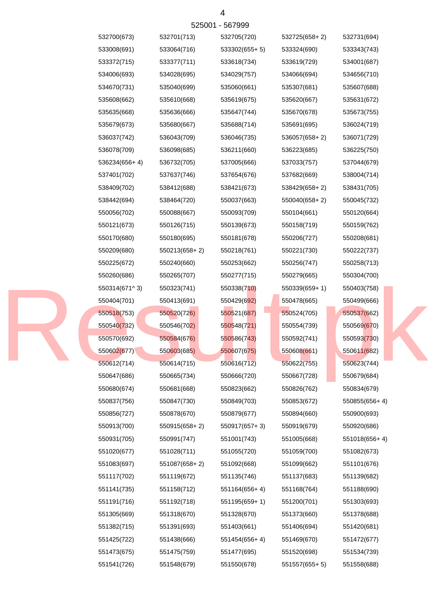| 532700(673)   | 532701(713)   | 532705(720)   | 532725(658+2) | 532731(694)   |
|---------------|---------------|---------------|---------------|---------------|
| 533008(691)   | 533064(716)   | 533302(655+5) | 533324(690)   | 533343(743)   |
| 533372(715)   | 533377(711)   | 533618(734)   | 533619(729)   | 534001(687)   |
| 534006(693)   | 534028(695)   | 534029(757)   | 534066(694)   | 534656(710)   |
| 534670(731)   | 535040(699)   | 535060(661)   | 535307(681)   | 535607(688)   |
| 535608(662)   | 535610(668)   | 535619(675)   | 535620(667)   | 535631(672)   |
| 535635(668)   | 535636(666)   | 535647(744)   | 535670(678)   | 535673(755)   |
| 535679(673)   | 535680(667)   | 535688(714)   | 535691(695)   | 536024(719)   |
| 536037(742)   | 536043(709)   | 536046(735)   | 536057(658+2) | 536071(729)   |
| 536078(709)   | 536098(685)   | 536211(660)   | 536223(685)   | 536225(750)   |
| 536234(656+4) | 536732(705)   | 537005(666)   | 537033(757)   | 537044(679)   |
| 537401(702)   | 537637(746)   | 537654(676)   | 537682(669)   | 538004(714)   |
| 538409(702)   | 538412(688)   | 538421(673)   | 538429(658+2) | 538431(705)   |
| 538442(694)   | 538464(720)   | 550037(663)   | 550040(658+2) | 550045(732)   |
| 550056(702)   | 550088(667)   | 550093(709)   | 550104(661)   | 550120(664)   |
| 550121(673)   | 550126(715)   | 550139(673)   | 550158(719)   | 550159(762)   |
| 550170(680)   | 550180(695)   | 550181(678)   | 550206(727)   | 550208(681)   |
| 550209(680)   | 550213(658+2) | 550218(761)   | 550221(730)   | 550222(737)   |
| 550225(672)   | 550240(660)   | 550253(662)   | 550256(747)   | 550258(713)   |
| 550260(686)   | 550265(707)   | 550277(715)   | 550279(665)   | 550304(700)   |
| 550314(671^3) | 550323(741)   | 550338(710)   | 550339(659+1) | 550403(758)   |
| 550404(701)   | 550413(691)   | 550429(692)   | 550478(665)   | 550499(666)   |
| 550518(753)   | 550520(726)   | 550521(687)   | 550524(705)   | 550537(662)   |
| 550540(732)   | 550546(702)   | 550548(721)   | 550554(739)   | 550569(670)   |
| 550570(692)   | 550584(676)   | 550586(743)   | 550592(741)   | 550593(730)   |
| 550602(677)   | 550603(685)   | 550607(675)   | 550608(661)   | 550611(682)   |
| 550612(714)   | 550614(715)   | 550616(712)   | 550622(755)   | 550623(744)   |
| 550647(686)   | 550665(734)   | 550666(720)   | 550667(728)   | 550679(684)   |
| 550680(674)   | 550681(668)   | 550823(662)   | 550826(762)   | 550834(679)   |
| 550837(756)   | 550847(730)   | 550849(703)   | 550853(672)   | 550855(656+4) |
| 550856(727)   | 550878(670)   | 550879(677)   | 550894(660)   | 550900(693)   |
| 550913(700)   | 550915(658+2) | 550917(657+3) | 550919(679)   | 550920(686)   |
| 550931(705)   | 550991(747)   | 551001(743)   | 551005(668)   | 551018(656+4) |
| 551020(677)   | 551028(711)   | 551055(720)   | 551059(700)   | 551082(673)   |
| 551083(697)   | 551087(658+2) | 551092(668)   | 551099(662)   | 551101(676)   |
| 551117(702)   | 551119(672)   | 551135(746)   | 551137(683)   | 551139(682)   |
| 551141(735)   | 551158(712)   | 551164(656+4) | 551168(764)   | 551188(690)   |
| 551191(716)   | 551192(718)   | 551195(659+1) | 551200(701)   | 551303(693)   |
| 551305(669)   | 551318(670)   | 551328(670)   | 551373(660)   | 551378(688)   |
| 551382(715)   | 551391(693)   | 551403(661)   | 551406(694)   | 551420(681)   |
| 551425(722)   | 551438(666)   | 551454(656+4) | 551469(670)   | 551472(677)   |
| 551473(675)   | 551475(759)   | 551477(695)   | 551520(698)   | 551534(739)   |
| 551541(726)   | 551548(679)   | 551550(678)   | 551557(655+5) | 551558(688)   |
|               |               |               |               |               |

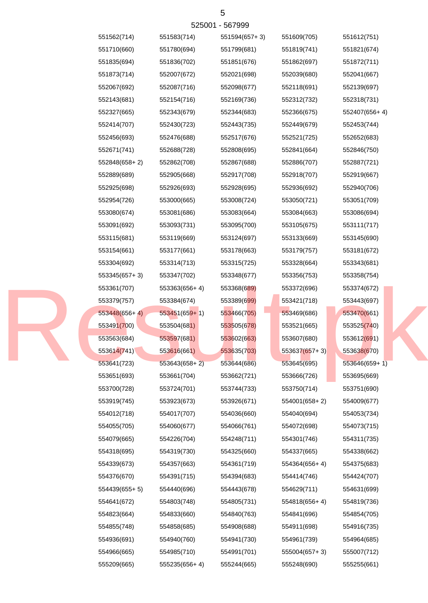|               |                 | 525001 - 567999 |                 |                 |
|---------------|-----------------|-----------------|-----------------|-----------------|
| 551562(714)   | 551583(714)     | 551594(657+3)   | 551609(705)     | 551612(751)     |
| 551710(660)   | 551780(694)     | 551799(681)     | 551819(741)     | 551821(674)     |
| 551835(694)   | 551836(702)     | 551851(676)     | 551862(697)     | 551872(711)     |
| 551873(714)   | 552007(672)     | 552021(698)     | 552039(680)     | 552041(667)     |
| 552067(692)   | 552087(716)     | 552098(677)     | 552118(691)     | 552139(697)     |
| 552143(681)   | 552154(716)     | 552169(736)     | 552312(732)     | 552318(731)     |
| 552327(665)   | 552343(679)     | 552344(683)     | 552366(675)     | 552407(656+4)   |
| 552414(707)   | 552430(723)     | 552443(735)     | 552449(679)     | 552453(744)     |
| 552456(693)   | 552476(688)     | 552517(676)     | 552521(725)     | 552652(683)     |
| 552671(741)   | 552688(728)     | 552808(695)     | 552841(664)     | 552846(750)     |
| 552848(658+2) | 552862(708)     | 552867(688)     | 552886(707)     | 552887(721)     |
| 552889(689)   | 552905(668)     | 552917(708)     | 552918(707)     | 552919(667)     |
| 552925(698)   | 552926(693)     | 552928(695)     | 552936(692)     | 552940(706)     |
| 552954(726)   | 553000(665)     | 553008(724)     | 553050(721)     | 553051(709)     |
| 553080(674)   | 553081(686)     | 553083(664)     | 553084(663)     | 553086(694)     |
| 553091(692)   | 553093(731)     | 553095(700)     | 553105(675)     | 553111(717)     |
| 553115(681)   | 553119(669)     | 553124(697)     | 553133(669)     | 553145(690)     |
| 553154(661)   | 553177(661)     | 553178(663)     | 553179(757)     | 553181(672)     |
| 553304(692)   | 553314(713)     | 553315(725)     | 553328(664)     | 553343(681)     |
| 553345(657+3) | 553347(702)     | 553348(677)     | 553356(753)     | 553358(754)     |
| 553361(707)   | 553363(656+4)   | 553368(689)     | 553372(696)     | 553374(672)     |
| 553379(757)   | 553384(674)     | 553389(699)     | 553421(718)     | 553443(697)     |
| 553448(656+4) | $553451(659+1)$ | 553466(705)     | 553469(686)     | 553470(661)     |
| 553491(700)   | 553504(681)     | 553505(678)     | 553521(665)     | 553525(740)     |
| 553563(684)   | 553597(681)     | 553602(663)     | 553607(680)     | 553612(691)     |
| 553614(741)   | 553616(661)     | 553635(703)     | $553637(657+3)$ | 553638(670)     |
| 553641(723)   | $553643(658+2)$ | 553644(686)     | 553645(695)     | $553646(659+1)$ |
| 553651(693)   | 553661(704)     | 553662(721)     | 553666(726)     | 553695(669)     |
| 553700(728)   | 553724(701)     | 553744(733)     | 553750(714)     | 553751(690)     |
| 553919(745)   | 553923(673)     | 553926(671)     | 554001(658+2)   | 554009(677)     |
| 554012(718)   | 554017(707)     | 554036(660)     | 554040(694)     | 554053(734)     |
| 554055(705)   | 554060(677)     | 554066(761)     | 554072(698)     | 554073(715)     |
| 554079(665)   | 554226(704)     | 554248(711)     | 554301(746)     | 554311(735)     |
| 554318(695)   | 554319(730)     | 554325(660)     | 554337(665)     | 554338(662)     |
| 554339(673)   | 554357(663)     | 554361(719)     | 554364(656+4)   | 554375(683)     |
| 554376(670)   | 554391(715)     | 554394(683)     | 554414(746)     | 554424(707)     |
| 554439(655+5) | 554440(696)     | 554443(678)     | 554629(711)     | 554631(699)     |
| 554641(672)   | 554803(748)     | 554805(731)     | 554818(656+4)   | 554819(736)     |
| 554823(664)   | 554833(660)     | 554840(763)     | 554841(696)     | 554854(705)     |
| 554855(748)   | 554858(685)     | 554908(688)     | 554911(698)     | 554916(735)     |
| 554936(691)   | 554940(760)     | 554941(730)     | 554961(739)     | 554964(685)     |
| 554966(665)   | 554985(710)     | 554991(701)     | 555004(657+3)   | 555007(712)     |
| 555209(665)   | 555235(656+4)   | 555244(665)     | 555248(690)     | 555255(661)     |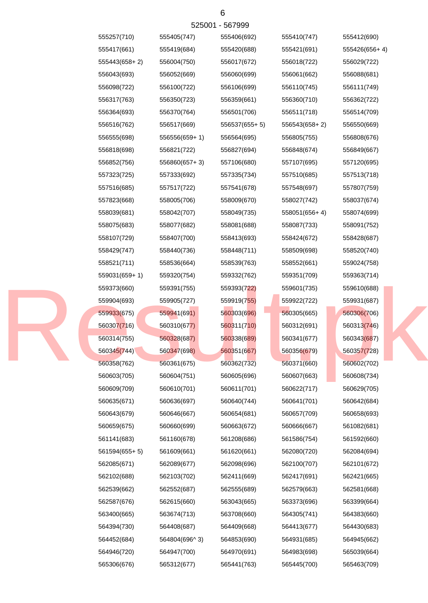|  | 555257(710)   | 555405(747)     | 555406(692)   | 555410(747)   | 555412(690)   |
|--|---------------|-----------------|---------------|---------------|---------------|
|  | 555417(661)   | 555419(684)     | 555420(688)   | 555421(691)   | 555426(656+4) |
|  | 555443(658+2) | 556004(750)     | 556017(672)   | 556018(722)   | 556029(722)   |
|  | 556043(693)   | 556052(669)     | 556060(699)   | 556061(662)   | 556088(681)   |
|  | 556098(722)   | 556100(722)     | 556106(699)   | 556110(745)   | 556111(749)   |
|  | 556317(763)   | 556350(723)     | 556359(661)   | 556360(710)   | 556362(722)   |
|  | 556364(693)   | 556370(764)     | 556501(706)   | 556511(718)   | 556514(709)   |
|  | 556516(762)   | 556517(669)     | 556537(655+5) | 556543(658+2) | 556550(669)   |
|  | 556555(698)   | $556556(659+1)$ | 556564(695)   | 556805(755)   | 556808(676)   |
|  | 556818(698)   | 556821(722)     | 556827(694)   | 556848(674)   | 556849(667)   |
|  | 556852(756)   | $556860(657+3)$ | 557106(680)   | 557107(695)   | 557120(695)   |
|  | 557323(725)   | 557333(692)     | 557335(734)   | 557510(685)   | 557513(718)   |
|  | 557516(685)   | 557517(722)     | 557541(678)   | 557548(697)   | 557807(759)   |
|  | 557823(668)   | 558005(706)     | 558009(670)   | 558027(742)   | 558037(674)   |
|  | 558039(681)   | 558042(707)     | 558049(735)   | 558051(656+4) | 558074(699)   |
|  | 558075(683)   | 558077(682)     | 558081(688)   | 558087(733)   | 558091(752)   |
|  | 558107(729)   | 558407(700)     | 558413(693)   | 558424(672)   | 558428(687)   |
|  | 558429(747)   | 558440(736)     | 558448(711)   | 558509(698)   | 558520(740)   |
|  | 558521(711)   | 558536(664)     | 558539(763)   | 558552(661)   | 559024(758)   |
|  | 559031(659+1) | 559320(754)     | 559332(762)   | 559351(709)   | 559363(714)   |
|  | 559373(660)   | 559391(755)     | 559393(722)   | 559601(735)   | 559610(688)   |
|  | 559904(693)   | 559905(727)     | 559919(755)   | 559922(722)   | 559931(687)   |
|  | 559933(675)   | 559941(691)     | 560303(696)   | 560305(665)   | 560306(706)   |
|  | 560307(716)   | 560310(677)     | 560311(710)   | 560312(691)   | 560313(746)   |
|  | 560314(755)   | 560328(687)     | 560338(689)   | 560341(677)   | 560343(687)   |
|  | 560345(744)   | 560347(698)     | 560351(667)   | 560356(679)   | 560357(728)   |
|  | 560358(762)   | 560361(675)     | 560362(732)   | 560371(660)   | 560602(702)   |
|  | 560603(705)   | 560604(751)     | 560605(696)   | 560607(663)   | 560608(734)   |
|  | 560609(709)   | 560610(701)     | 560611(701)   | 560622(717)   | 560629(705)   |
|  | 560635(671)   | 560636(697)     | 560640(744)   | 560641(701)   | 560642(684)   |
|  | 560643(679)   | 560646(667)     | 560654(681)   | 560657(709)   | 560658(693)   |
|  | 560659(675)   | 560660(699)     | 560663(672)   | 560666(667)   | 561082(681)   |
|  | 561141(683)   | 561160(678)     | 561208(686)   | 561586(754)   | 561592(660)   |
|  | 561594(655+5) | 561609(661)     | 561620(661)   | 562080(720)   | 562084(694)   |
|  | 562085(671)   | 562089(677)     | 562098(696)   | 562100(707)   | 562101(672)   |
|  | 562102(688)   | 562103(702)     | 562411(669)   | 562417(691)   | 562421(665)   |
|  | 562539(662)   | 562552(687)     | 562555(689)   | 562579(663)   | 562581(668)   |
|  | 562587(676)   | 562615(660)     | 563043(665)   | 563373(696)   | 563399(664)   |
|  | 563400(665)   | 563674(713)     | 563708(660)   | 564305(741)   | 564383(660)   |
|  | 564394(730)   | 564408(687)     | 564409(668)   | 564413(677)   | 564430(683)   |
|  | 564452(684)   | 564804(696^3)   | 564853(690)   | 564931(685)   | 564945(662)   |
|  | 564946(720)   | 564947(700)     | 564970(691)   | 564983(698)   | 565039(664)   |
|  | 565306(676)   | 565312(677)     | 565441(763)   | 565445(700)   | 565463(709)   |
|  |               |                 |               |               |               |

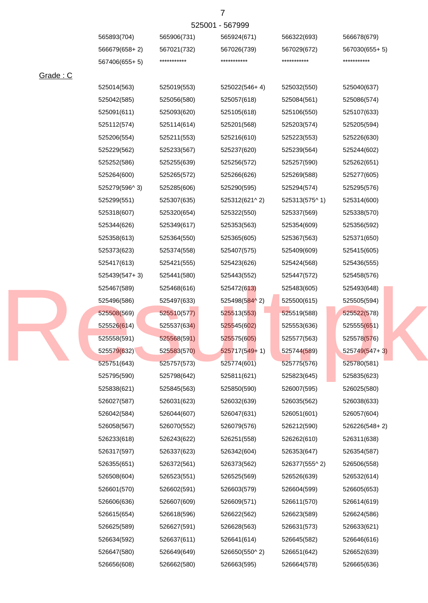|                   |             | 525001 - 567999 |             |                 |
|-------------------|-------------|-----------------|-------------|-----------------|
| 565893(704)       | 565906(731) | 565924(671)     | 566322(693) | 566678(679)     |
| $566679(658 + 2)$ | 567021(732) | 567026(739)     | 567029(672) | $567030(655+5)$ |
| 567406(655+ 5)    | *********** | ***********     | *********** | ***********     |
|                   |             |                 |             |                 |

|          | 001 1001000 1 UT |             |                 |               |                 |
|----------|------------------|-------------|-----------------|---------------|-----------------|
| Grade: C |                  |             |                 |               |                 |
|          | 525014(563)      | 525019(553) | 525022(546+4)   | 525032(550)   | 525040(637)     |
|          | 525042(585)      | 525056(580) | 525057(618)     | 525084(561)   | 525086(574)     |
|          | 525091(611)      | 525093(620) | 525105(618)     | 525106(550)   | 525107(633)     |
|          | 525112(574)      | 525114(614) | 525201(568)     | 525203(574)   | 525205(594)     |
|          | 525206(554)      | 525211(553) | 525216(610)     | 525223(553)   | 525226(630)     |
|          | 525229(562)      | 525233(567) | 525237(620)     | 525239(564)   | 525244(602)     |
|          | 525252(586)      | 525255(639) | 525256(572)     | 525257(590)   | 525262(651)     |
|          | 525264(600)      | 525265(572) | 525266(626)     | 525269(588)   | 525277(605)     |
|          | 525279(596^3)    | 525285(606) | 525290(595)     | 525294(574)   | 525295(576)     |
|          | 525299(551)      | 525307(635) | 525312(621^2)   | 525313(575^1) | 525314(600)     |
|          | 525318(607)      | 525320(654) | 525322(550)     | 525337(569)   | 525338(570)     |
|          | 525344(626)      | 525349(617) | 525353(563)     | 525354(609)   | 525356(592)     |
|          | 525358(613)      | 525364(550) | 525365(605)     | 525367(563)   | 525371(650)     |
|          | 525373(623)      | 525374(558) | 525407(575)     | 525409(609)   | 525415(605)     |
|          | 525417(613)      | 525421(555) | 525423(626)     | 525424(568)   | 525436(555)     |
|          | 525439(547+3)    | 525441(580) | 525443(552)     | 525447(572)   | 525458(576)     |
|          | 525467(589)      | 525468(616) | 525472(613)     | 525483(605)   | 525493(648)     |
|          | 525496(586)      | 525497(633) | 525498(584^2)   | 525500(615)   | 525505(594)     |
|          | 525508(569)      | 525510(577) | 525513(553)     | 525519(588)   | 525522(578)     |
|          | 525526(614)      | 525537(634) | 525545(602)     | 525553(636)   | 525555(651)     |
|          | 525558(591)      | 525568(591) | 525575(605)     | 525577(563)   | 525578(576)     |
|          | 525579(632)      | 525583(570) | $525717(549+1)$ | 525744(589)   | $525749(547+3)$ |
|          | 525751(643)      | 525757(573) | 525774(601)     | 525775(576)   | 525780(581)     |
|          | 525795(590)      | 525798(642) | 525811(621)     | 525823(645)   | 525835(623)     |
|          | 525838(621)      | 525845(563) | 525850(590)     | 526007(595)   | 526025(580)     |
|          | 526027(587)      | 526031(623) | 526032(639)     | 526035(562)   | 526038(633)     |
|          | 526042(584)      | 526044(607) | 526047(631)     | 526051(601)   | 526057(604)     |
|          | 526058(567)      | 526070(552) | 526079(576)     | 526212(590)   | 526226(548+2)   |
|          | 526233(618)      | 526243(622) | 526251(558)     | 526262(610)   | 526311(638)     |
|          | 526317(597)      | 526337(623) | 526342(604)     | 526353(647)   | 526354(587)     |
|          | 526355(651)      | 526372(561) | 526373(562)     | 526377(555^2) | 526506(558)     |
|          | 526508(604)      | 526523(551) | 526525(569)     | 526526(639)   | 526532(614)     |
|          | 526601(570)      | 526602(591) | 526603(579)     | 526604(599)   | 526605(653)     |
|          | 526606(636)      | 526607(609) | 526609(571)     | 526611(570)   | 526614(619)     |
|          | 526615(654)      | 526618(596) | 526622(562)     | 526623(589)   | 526624(586)     |
|          | 526625(589)      | 526627(591) | 526628(563)     | 526631(573)   | 526633(621)     |
|          | 526634(592)      | 526637(611) | 526641(614)     | 526645(582)   | 526646(616)     |
|          | 526647(580)      | 526649(649) | 526650(550^2)   | 526651(642)   | 526652(639)     |
|          | 526656(608)      | 526662(580) | 526663(595)     | 526664(578)   | 526665(636)     |



7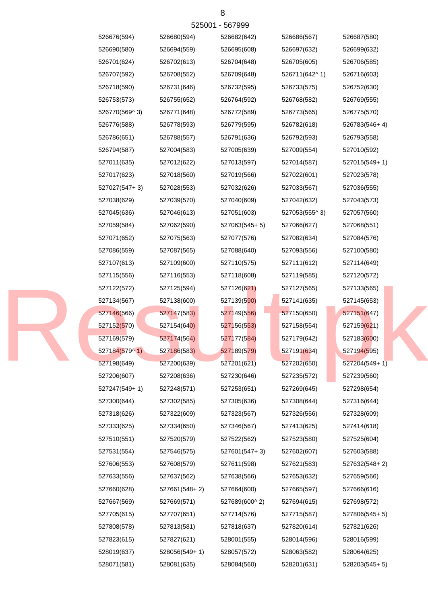| 525001 - 567999 |               |               |               |               |               |  |  |
|-----------------|---------------|---------------|---------------|---------------|---------------|--|--|
|                 | 526676(594)   | 526680(594)   | 526682(642)   | 526686(567)   | 526687(580)   |  |  |
|                 | 526690(580)   | 526694(559)   | 526695(608)   | 526697(632)   | 526699(632)   |  |  |
|                 | 526701(624)   | 526702(613)   | 526704(648)   | 526705(605)   | 526706(585)   |  |  |
|                 | 526707(592)   | 526708(552)   | 526709(648)   | 526711(642^1) | 526716(603)   |  |  |
|                 | 526718(590)   | 526731(646)   | 526732(595)   | 526733(575)   | 526752(630)   |  |  |
|                 | 526753(573)   | 526755(652)   | 526764(592)   | 526768(582)   | 526769(555)   |  |  |
|                 | 526770(569^3) | 526771(648)   | 526772(589)   | 526773(565)   | 526775(570)   |  |  |
|                 | 526776(588)   | 526778(593)   | 526779(595)   | 526782(618)   | 526783(546+4) |  |  |
|                 | 526786(651)   | 526788(557)   | 526791(636)   | 526792(593)   | 526793(558)   |  |  |
|                 | 526794(587)   | 527004(583)   | 527005(639)   | 527009(554)   | 527010(592)   |  |  |
|                 | 527011(635)   | 527012(622)   | 527013(597)   | 527014(587)   | 527015(549+1) |  |  |
|                 | 527017(623)   | 527018(560)   | 527019(566)   | 527022(601)   | 527023(578)   |  |  |
|                 | 527027(547+3) | 527028(553)   | 527032(626)   | 527033(567)   | 527036(555)   |  |  |
|                 | 527038(629)   | 527039(570)   | 527040(609)   | 527042(632)   | 527043(573)   |  |  |
|                 | 527045(636)   | 527046(613)   | 527051(603)   | 527053(555^3) | 527057(560)   |  |  |
|                 | 527059(584)   | 527062(590)   | 527063(545+5) | 527066(627)   | 527068(551)   |  |  |
|                 | 527071(652)   | 527075(563)   | 527077(576)   | 527082(634)   | 527084(576)   |  |  |
|                 | 527086(559)   | 527087(565)   | 527088(640)   | 527093(556)   | 527100(580)   |  |  |
|                 | 527107(613)   | 527109(600)   | 527110(575)   | 527111(612)   | 527114(649)   |  |  |
|                 | 527115(556)   | 527116(553)   | 527118(608)   | 527119(585)   | 527120(572)   |  |  |
|                 | 527122(572)   | 527125(594)   | 527126(621)   | 527127(565)   | 527133(565)   |  |  |
|                 | 527134(567)   | 527138(600)   | 527139(590)   | 527141(635)   | 527145(653)   |  |  |
|                 | 527146(566)   | 527147(583)   | 527149(556)   | 527150(650)   | 527151(647)   |  |  |
|                 | 527152(570)   | 527154(640)   | 527156(553)   | 527158(554)   | 527159(621)   |  |  |
|                 | 527169(579)   | 527174(564)   | 527177(584)   | 527179(642)   | 527183(600)   |  |  |
|                 | 527184(579^1) | 527186(583)   | 527189(579)   | 527191(634)   | 527194(595)   |  |  |
|                 | 527198(649)   | 527200(639)   | 527201(621)   | 527202(650)   | 527204(549+1) |  |  |
|                 | 527206(607)   | 527208(636)   | 527230(646)   | 527235(572)   | 527239(560)   |  |  |
|                 | 527247(549+1) | 527248(571)   | 527253(651)   | 527269(645)   | 527298(654)   |  |  |
|                 | 527300(644)   | 527302(585)   | 527305(636)   | 527308(644)   | 527316(644)   |  |  |
|                 | 527318(626)   | 527322(609)   | 527323(567)   | 527326(556)   | 527328(609)   |  |  |
|                 | 527333(625)   | 527334(650)   | 527346(567)   | 527413(625)   | 527414(618)   |  |  |
|                 | 527510(551)   | 527520(579)   | 527522(562)   | 527523(580)   | 527525(604)   |  |  |
|                 | 527531(554)   | 527546(575)   | 527601(547+3) | 527602(607)   | 527603(588)   |  |  |
|                 | 527606(553)   | 527608(579)   | 527611(598)   | 527621(583)   | 527632(548+2) |  |  |
|                 | 527633(556)   | 527637(562)   | 527638(566)   | 527653(632)   | 527659(566)   |  |  |
|                 | 527660(628)   | 527661(548+2) | 527664(600)   | 527665(597)   | 527666(616)   |  |  |
|                 | 527667(569)   | 527669(571)   | 527689(600^2) | 527694(615)   | 527698(572)   |  |  |
|                 | 527705(615)   | 527707(651)   | 527714(576)   | 527715(587)   | 527806(545+5) |  |  |
|                 | 527808(578)   | 527813(581)   | 527818(637)   | 527820(614)   | 527821(626)   |  |  |
|                 | 527823(615)   | 527827(621)   | 528001(555)   | 528014(596)   | 528016(599)   |  |  |
|                 | 528019(637)   | 528056(549+1) | 528057(572)   | 528063(582)   | 528064(625)   |  |  |
|                 | 528071(581)   | 528081(635)   | 528084(560)   | 528201(631)   | 528203(545+5) |  |  |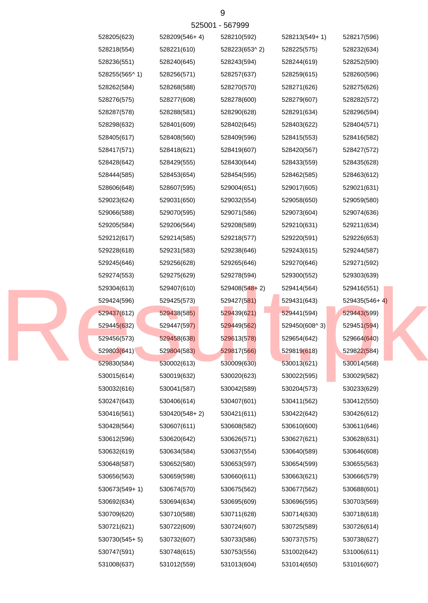| 528205(623)   | 528209(546+4) | 528210(592)     | 528213(549+1) | 528217(596)     |
|---------------|---------------|-----------------|---------------|-----------------|
| 528218(554)   | 528221(610)   | 528223(653^2)   | 528225(575)   | 528232(634)     |
| 528236(551)   | 528240(645)   | 528243(594)     | 528244(619)   | 528252(590)     |
| 528255(565^1) | 528256(571)   | 528257(637)     | 528259(615)   | 528260(596)     |
| 528262(584)   | 528268(588)   | 528270(570)     | 528271(626)   | 528275(626)     |
| 528276(575)   | 528277(608)   | 528278(600)     | 528279(607)   | 528282(572)     |
| 528287(578)   | 528288(581)   | 528290(628)     | 528291(634)   | 528296(594)     |
| 528298(632)   | 528401(609)   | 528402(645)     | 528403(622)   | 528404(571)     |
| 528405(617)   | 528408(560)   | 528409(596)     | 528415(553)   | 528416(582)     |
| 528417(571)   | 528418(621)   | 528419(607)     | 528420(567)   | 528427(572)     |
| 528428(642)   | 528429(555)   | 528430(644)     | 528433(559)   | 528435(628)     |
| 528444(585)   | 528453(654)   | 528454(595)     | 528462(585)   | 528463(612)     |
| 528606(648)   | 528607(595)   | 529004(651)     | 529017(605)   | 529021(631)     |
| 529023(624)   | 529031(650)   | 529032(554)     | 529058(650)   | 529059(580)     |
| 529066(588)   | 529070(595)   | 529071(586)     | 529073(604)   | 529074(636)     |
| 529205(584)   | 529206(564)   | 529208(589)     | 529210(631)   | 529211(634)     |
| 529212(617)   | 529214(585)   | 529218(577)     | 529220(591)   | 529226(653)     |
| 529228(618)   | 529231(583)   | 529238(646)     | 529243(615)   | 529244(587)     |
| 529245(646)   | 529256(628)   | 529265(646)     | 529270(646)   | 529271(592)     |
| 529274(553)   | 529275(629)   | 529278(594)     | 529300(552)   | 529303(639)     |
| 529304(613)   | 529407(610)   | $529408(548+2)$ | 529414(564)   | 529416(551)     |
| 529424(596)   | 529425(573)   | 529427(581)     | 529431(643)   | $529435(546+4)$ |
| 529437(612)   | 529438(585)   | 529439(621)     | 529441(594)   | 529443(599)     |
| 529445(632)   | 529447(597)   | 529449(562)     | 529450(608^3) | 529451(594)     |
| 529456(573)   | 529458(638)   | 529613(578)     | 529654(642)   | 529664(640)     |
| 529803(641)   | 529804(583)   | 529817(566)     | 529819(618)   | 529822(584)     |
| 529830(584)   | 530002(613)   | 530009(630)     | 530013(621)   | 530014(568)     |
| 530015(614)   | 530019(632)   | 530020(623)     | 530022(595)   | 530029(582)     |
| 530032(616)   | 530041(587)   | 530042(589)     | 530204(573)   | 530233(629)     |
| 530247(643)   | 530406(614)   | 530407(601)     | 530411(562)   | 530412(550)     |
| 530416(561)   | 530420(548+2) | 530421(611)     | 530422(642)   | 530426(612)     |
| 530428(564)   | 530607(611)   | 530608(582)     | 530610(600)   | 530611(646)     |
| 530612(596)   | 530620(642)   | 530626(571)     | 530627(621)   | 530628(631)     |
| 530632(619)   | 530634(584)   | 530637(554)     | 530640(589)   | 530646(608)     |
| 530648(587)   | 530652(580)   | 530653(597)     | 530654(599)   | 530655(563)     |
| 530656(563)   | 530659(598)   | 530660(611)     | 530663(621)   | 530666(579)     |
| 530673(549+1) | 530674(570)   | 530675(562)     | 530677(562)   | 530688(601)     |
| 530692(634)   | 530694(634)   | 530695(609)     | 530696(595)   | 530703(569)     |
| 530709(620)   | 530710(588)   | 530711(628)     | 530714(630)   | 530718(618)     |
| 530721(621)   | 530722(609)   | 530724(607)     | 530725(589)   | 530726(614)     |
| 530730(545+5) | 530732(607)   | 530733(586)     | 530737(575)   | 530738(627)     |
| 530747(591)   | 530748(615)   | 530753(556)     | 531002(642)   | 531006(611)     |
| 531008(637)   | 531012(559)   | 531013(604)     | 531014(650)   | 531016(607)     |

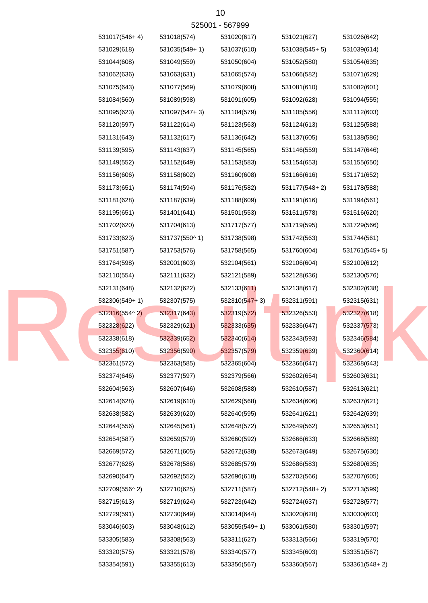| 531017(546+4) | 531018(574)   | 531020(617)     | 531021(627)     | 531026(642)   |
|---------------|---------------|-----------------|-----------------|---------------|
| 531029(618)   | 531035(549+1) | 531037(610)     | $531038(545+5)$ | 531039(614)   |
| 531044(608)   | 531049(559)   | 531050(604)     | 531052(580)     | 531054(635)   |
| 531062(636)   | 531063(631)   | 531065(574)     | 531066(582)     | 531071(629)   |
| 531075(643)   | 531077(569)   | 531079(608)     | 531081(610)     | 531082(601)   |
| 531084(560)   | 531089(598)   | 531091(605)     | 531092(628)     | 531094(555)   |
| 531095(623)   | 531097(547+3) | 531104(579)     | 531105(556)     | 531112(603)   |
| 531120(597)   | 531122(614)   | 531123(563)     | 531124(613)     | 531125(588)   |
| 531131(643)   | 531132(617)   | 531136(642)     | 531137(605)     | 531138(586)   |
| 531139(595)   | 531143(637)   | 531145(565)     | 531146(559)     | 531147(646)   |
| 531149(552)   | 531152(649)   | 531153(583)     | 531154(653)     | 531155(650)   |
| 531156(606)   | 531158(602)   | 531160(608)     | 531166(616)     | 531171(652)   |
| 531173(651)   | 531174(594)   | 531176(582)     | 531177(548+2)   | 531178(588)   |
| 531181(628)   | 531187(639)   | 531188(609)     | 531191(616)     | 531194(561)   |
| 531195(651)   | 531401(641)   | 531501(553)     | 531511(578)     | 531516(620)   |
| 531702(620)   | 531704(613)   | 531717(577)     | 531719(595)     | 531729(566)   |
| 531733(623)   | 531737(550^1) | 531738(598)     | 531742(563)     | 531744(561)   |
| 531751(587)   | 531753(576)   | 531758(565)     | 531760(604)     | 531761(545+5) |
| 531764(598)   | 532001(603)   | 532104(561)     | 532106(604)     | 532109(612)   |
| 532110(554)   | 532111(632)   | 532121(589)     | 532128(636)     | 532130(576)   |
| 532131(648)   | 532132(622)   | 532133(611)     | 532138(617)     | 532302(638)   |
| 532306(549+1) | 532307(575)   | $532310(547+3)$ | 532311(591)     | 532315(631)   |
| 532316(554^2) | 532317(643)   | 532319(572)     | 532326(553)     | 532327(618)   |
| 532328(622)   | 532329(621)   | 532333(635)     | 532336(647)     | 532337(573)   |
| 532338(618)   | 532339(652)   | 532340(614)     | 532343(593)     | 532346(584)   |
| 532355(610)   | 532356(590)   | 532357(579)     | 532359(639)     | 532360(614)   |
| 532361(572)   | 532363(585)   | 532365(604)     | 532366(647)     | 532368(643)   |
| 532374(646)   | 532377(597)   | 532379(566)     | 532602(654)     | 532603(631)   |
| 532604(563)   | 532607(646)   | 532608(588)     | 532610(587)     | 532613(621)   |
| 532614(628)   | 532619(610)   | 532629(568)     | 532634(606)     | 532637(621)   |
| 532638(582)   | 532639(620)   | 532640(595)     | 532641(621)     | 532642(639)   |
| 532644(556)   | 532645(561)   | 532648(572)     | 532649(562)     | 532653(651)   |
| 532654(587)   | 532659(579)   | 532660(592)     | 532666(633)     | 532668(589)   |
| 532669(572)   | 532671(605)   | 532672(638)     | 532673(649)     | 532675(630)   |
| 532677(628)   | 532678(586)   | 532685(579)     | 532686(583)     | 532689(635)   |
| 532690(647)   | 532692(552)   | 532696(618)     | 532702(566)     | 532707(605)   |
| 532709(556^2) | 532710(625)   | 532711(587)     | 532712(548+2)   | 532713(599)   |
| 532715(613)   | 532719(624)   | 532723(642)     | 532724(637)     | 532728(577)   |
| 532729(591)   | 532730(649)   | 533014(644)     | 533020(628)     | 533030(603)   |
| 533046(603)   | 533048(612)   | 533055(549+1)   | 533061(580)     | 533301(597)   |
| 533305(583)   | 533308(563)   | 533311(627)     | 533313(566)     | 533319(570)   |
| 533320(575)   | 533321(578)   | 533340(577)     | 533345(603)     | 533351(567)   |
| 533354(591)   | 533355(613)   | 533356(567)     | 533360(567)     | 533361(548+2) |

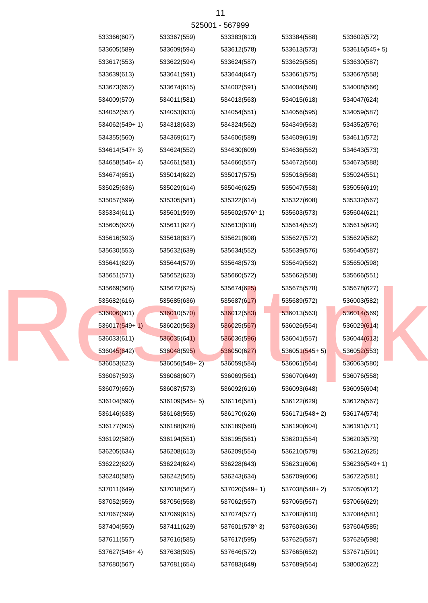|  | 533366(607)   | 533367(559)     | 533383(613)   | 533384(588)     | 533602(572)     |
|--|---------------|-----------------|---------------|-----------------|-----------------|
|  | 533605(589)   | 533609(594)     | 533612(578)   | 533613(573)     | $533616(545+5)$ |
|  | 533617(553)   | 533622(594)     | 533624(587)   | 533625(585)     | 533630(587)     |
|  | 533639(613)   | 533641(591)     | 533644(647)   | 533661(575)     | 533667(558)     |
|  | 533673(652)   | 533674(615)     | 534002(591)   | 534004(568)     | 534008(566)     |
|  | 534009(570)   | 534011(581)     | 534013(563)   | 534015(618)     | 534047(624)     |
|  | 534052(557)   | 534053(633)     | 534054(551)   | 534056(595)     | 534059(587)     |
|  | 534062(549+1) | 534318(633)     | 534324(562)   | 534349(563)     | 534352(576)     |
|  | 534355(560)   | 534369(617)     | 534606(589)   | 534609(619)     | 534611(572)     |
|  | 534614(547+3) | 534624(552)     | 534630(609)   | 534636(562)     | 534643(573)     |
|  | 534658(546+4) | 534661(581)     | 534666(557)   | 534672(560)     | 534673(588)     |
|  | 534674(651)   | 535014(622)     | 535017(575)   | 535018(568)     | 535024(551)     |
|  | 535025(636)   | 535029(614)     | 535046(625)   | 535047(558)     | 535056(619)     |
|  | 535057(599)   | 535305(581)     | 535322(614)   | 535327(608)     | 535332(567)     |
|  | 535334(611)   | 535601(599)     | 535602(576^1) | 535603(573)     | 535604(621)     |
|  | 535605(620)   | 535611(627)     | 535613(618)   | 535614(552)     | 535615(620)     |
|  | 535616(593)   | 535618(637)     | 535621(608)   | 535627(572)     | 535629(562)     |
|  | 535630(553)   | 535632(639)     | 535634(552)   | 535639(576)     | 535640(587)     |
|  | 535641(629)   | 535644(579)     | 535648(573)   | 535649(562)     | 535650(598)     |
|  | 535651(571)   | 535652(623)     | 535660(572)   | 535662(558)     | 535666(551)     |
|  | 535669(568)   | 535672(625)     | 535674(625)   | 535675(578)     | 535678(627)     |
|  | 535682(616)   | 535685(636)     | 535687(617)   | 535689(572)     | 536003(582)     |
|  | 536006(601)   | 536010(570)     | 536012(583)   | 536013(563)     | 536014(569)     |
|  | 536017(549+1) | 536020(563)     | 536025(567)   | 536026(554)     | 536029(614)     |
|  | 536033(611)   | 536035(641)     | 536036(596)   | 536041(557)     | 536044(613)     |
|  | 536045(642)   | 536048(595)     | 536050(627)   | $536051(545+5)$ | 536052(553)     |
|  | 536053(623)   | $536056(548+2)$ | 536059(584)   | 536061(564)     | 536063(580)     |
|  | 536067(593)   | 536068(607)     | 536069(561)   | 536070(649)     | 536076(558)     |
|  | 536079(650)   | 536087(573)     | 536092(616)   | 536093(648)     | 536095(604)     |
|  | 536104(590)   | $536109(545+5)$ | 536116(581)   | 536122(629)     | 536126(567)     |
|  | 536146(638)   | 536168(555)     | 536170(626)   | 536171(548+2)   | 536174(574)     |
|  | 536177(605)   | 536188(628)     | 536189(560)   | 536190(604)     | 536191(571)     |
|  | 536192(580)   | 536194(551)     | 536195(561)   | 536201(554)     | 536203(579)     |
|  | 536205(634)   | 536208(613)     | 536209(554)   | 536210(579)     | 536212(625)     |
|  | 536222(620)   | 536224(624)     | 536228(643)   | 536231(606)     | 536236(549+1)   |
|  | 536240(585)   | 536242(565)     | 536243(634)   | 536709(606)     | 536722(581)     |
|  | 537011(649)   | 537018(567)     | 537020(549+1) | 537038(548+2)   | 537050(612)     |
|  | 537052(559)   | 537056(558)     | 537062(557)   | 537065(567)     | 537066(629)     |
|  | 537067(599)   | 537069(615)     | 537074(577)   | 537082(610)     | 537084(581)     |
|  | 537404(550)   | 537411(629)     | 537601(578^3) | 537603(636)     | 537604(585)     |
|  | 537611(557)   | 537616(585)     | 537617(595)   | 537625(587)     | 537626(598)     |
|  | 537627(546+4) | 537638(595)     | 537646(572)   | 537665(652)     | 537671(591)     |
|  | 537680(567)   | 537681(654)     | 537683(649)   | 537689(564)     | 538002(622)     |
|  |               |                 |               |                 |                 |

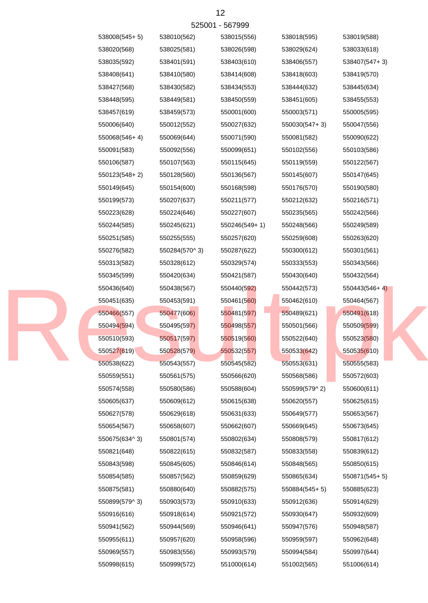|  | 538008(545+5) | 538010(562)   | 538015(556)   | 538018(595)   | 538019(588)     |
|--|---------------|---------------|---------------|---------------|-----------------|
|  | 538020(568)   | 538025(581)   | 538026(598)   | 538029(624)   | 538033(618)     |
|  | 538035(592)   | 538401(591)   | 538403(610)   | 538406(557)   | 538407(547+3)   |
|  | 538408(641)   | 538410(580)   | 538414(608)   | 538418(603)   | 538419(570)     |
|  | 538427(568)   | 538430(582)   | 538434(553)   | 538444(632)   | 538445(634)     |
|  | 538448(595)   | 538449(581)   | 538450(559)   | 538451(605)   | 538455(553)     |
|  | 538457(619)   | 538459(573)   | 550001(600)   | 550003(571)   | 550005(595)     |
|  | 550006(640)   | 550012(552)   | 550027(632)   | 550030(547+3) | 550047(556)     |
|  | 550068(546+4) | 550069(644)   | 550071(590)   | 550081(582)   | 550090(622)     |
|  | 550091(583)   | 550092(556)   | 550099(651)   | 550102(556)   | 550103(586)     |
|  | 550106(587)   | 550107(563)   | 550115(645)   | 550119(559)   | 550122(567)     |
|  | 550123(548+2) | 550128(560)   | 550136(567)   | 550145(607)   | 550147(645)     |
|  | 550149(645)   | 550154(600)   | 550168(598)   | 550176(570)   | 550190(580)     |
|  | 550199(573)   | 550207(637)   | 550211(577)   | 550212(632)   | 550216(571)     |
|  | 550223(628)   | 550224(646)   | 550227(607)   | 550235(565)   | 550242(566)     |
|  | 550244(585)   | 550245(621)   | 550246(549+1) | 550248(566)   | 550249(589)     |
|  | 550251(585)   | 550255(555)   | 550257(620)   | 550259(608)   | 550263(620)     |
|  | 550276(582)   | 550284(570^3) | 550287(622)   | 550300(612)   | 550301(561)     |
|  | 550313(582)   | 550328(612)   | 550329(574)   | 550333(553)   | 550343(566)     |
|  | 550345(599)   | 550420(634)   | 550421(587)   | 550430(640)   | 550432(564)     |
|  | 550436(640)   | 550438(567)   | 550440(592)   | 550442(573)   | $550443(546+4)$ |
|  | 550451(635)   | 550453(591)   | 550461(560)   | 550462(610)   | 550464(567)     |
|  | 550466(557)   | 550477(606)   | 550481(597)   | 550489(621)   | 550491(618)     |
|  | 550494(594)   | 550495(597)   | 550498(557)   | 550501(566)   | 550509(599)     |
|  | 550510(593)   | 550517(597)   | 550519(560)   | 550522(640)   | 550523(580)     |
|  | 550527(619)   | 550528(579)   | 550532(557)   | 550533(642)   | 550535(610)     |
|  | 550538(622)   | 550543(557)   | 550545(582)   | 550553(631)   | 550555(583)     |
|  | 550559(551)   | 550561(575)   | 550566(620)   | 550568(586)   | 550572(603)     |
|  | 550574(558)   | 550580(586)   | 550588(604)   | 550599(579^2) | 550600(611)     |
|  | 550605(637)   | 550609(612)   | 550615(638)   | 550620(557)   | 550625(615)     |
|  | 550627(578)   | 550629(618)   | 550631(633)   | 550649(577)   | 550653(567)     |
|  | 550654(567)   | 550658(607)   | 550662(607)   | 550669(645)   | 550673(645)     |
|  | 550675(634^3) | 550801(574)   | 550802(634)   | 550808(579)   | 550817(612)     |
|  | 550821(648)   | 550822(615)   | 550832(587)   | 550833(558)   | 550839(612)     |
|  | 550843(598)   | 550845(605)   | 550846(614)   | 550848(565)   | 550850(615)     |
|  | 550854(585)   | 550857(562)   | 550859(629)   | 550865(634)   | $550871(545+5)$ |
|  | 550875(581)   | 550880(640)   | 550882(575)   | 550884(545+5) | 550885(623)     |
|  | 550899(579^3) | 550903(573)   | 550910(633)   | 550912(636)   | 550914(629)     |
|  | 550916(616)   | 550918(614)   | 550921(572)   | 550930(647)   | 550932(609)     |
|  | 550941(562)   | 550944(569)   | 550946(641)   | 550947(576)   | 550948(587)     |
|  | 550955(611)   | 550957(620)   | 550958(596)   | 550959(597)   | 550962(648)     |
|  | 550969(557)   | 550983(556)   | 550993(579)   | 550994(584)   | 550997(644)     |
|  | 550998(615)   | 550999(572)   | 551000(614)   | 551002(565)   | 551006(614)     |
|  |               |               |               |               |                 |

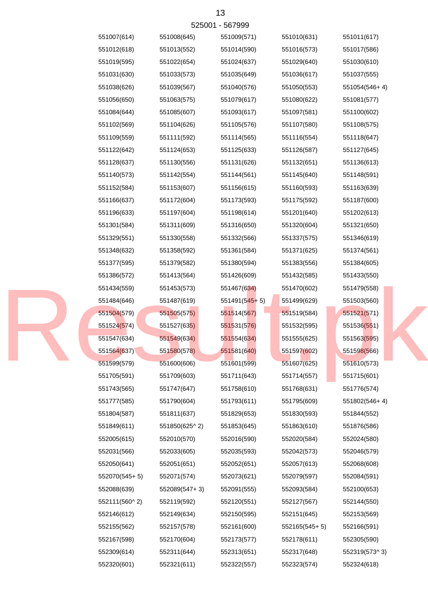| 525001 - 567999 |               |               |                 |               |               |  |  |
|-----------------|---------------|---------------|-----------------|---------------|---------------|--|--|
|                 | 551007(614)   | 551008(645)   | 551009(571)     | 551010(631)   | 551011(617)   |  |  |
|                 | 551012(618)   | 551013(552)   | 551014(590)     | 551016(573)   | 551017(586)   |  |  |
|                 | 551019(595)   | 551022(654)   | 551024(637)     | 551029(640)   | 551030(610)   |  |  |
|                 | 551031(630)   | 551033(573)   | 551035(649)     | 551036(617)   | 551037(555)   |  |  |
|                 | 551038(626)   | 551039(567)   | 551040(576)     | 551050(553)   | 551054(546+4) |  |  |
|                 | 551056(650)   | 551063(575)   | 551079(617)     | 551080(622)   | 551081(577)   |  |  |
|                 | 551084(644)   | 551085(607)   | 551093(617)     | 551097(581)   | 551100(602)   |  |  |
|                 | 551102(569)   | 551104(626)   | 551105(576)     | 551107(580)   | 551108(575)   |  |  |
|                 | 551109(559)   | 551111(592)   | 551114(565)     | 551116(554)   | 551118(647)   |  |  |
|                 | 551122(642)   | 551124(653)   | 551125(633)     | 551126(587)   | 551127(645)   |  |  |
|                 | 551128(637)   | 551130(556)   | 551131(626)     | 551132(651)   | 551136(613)   |  |  |
|                 | 551140(573)   | 551142(554)   | 551144(561)     | 551145(640)   | 551148(591)   |  |  |
|                 | 551152(584)   | 551153(607)   | 551156(615)     | 551160(593)   | 551163(639)   |  |  |
|                 | 551166(637)   | 551172(604)   | 551173(593)     | 551175(592)   | 551187(600)   |  |  |
|                 | 551196(633)   | 551197(604)   | 551198(614)     | 551201(640)   | 551202(613)   |  |  |
|                 | 551301(584)   | 551311(609)   | 551316(650)     | 551320(604)   | 551321(650)   |  |  |
|                 | 551329(551)   | 551330(558)   | 551332(566)     | 551337(575)   | 551346(619)   |  |  |
|                 | 551348(632)   | 551358(592)   | 551361(584)     | 551371(625)   | 551374(561)   |  |  |
|                 | 551377(595)   | 551379(582)   | 551380(594)     | 551383(556)   | 551384(605)   |  |  |
|                 | 551386(572)   | 551413(564)   | 551426(609)     | 551432(585)   | 551433(550)   |  |  |
|                 | 551434(559)   | 551453(573)   | 551467(634)     | 551470(602)   | 551479(558)   |  |  |
|                 | 551484(646)   | 551487(619)   | $551491(545+5)$ | 551499(629)   | 551503(560)   |  |  |
|                 | 551504(579)   | 551505(575)   | 551514(567)     | 551519(584)   | 551521(571)   |  |  |
|                 | 551524(574)   | 551527(635)   | 551531(576)     | 551532(595)   | 551536(551)   |  |  |
|                 | 551547(634)   | 551549(634)   | 551554(634)     | 551555(625)   | 551563(595)   |  |  |
|                 | 551564(637)   | 551580(578)   | 551581(640)     | 551597(602)   | 551598(566)   |  |  |
|                 | 551599(579)   | 551600(606)   | 551601(599)     | 551607(625)   | 551610(573)   |  |  |
|                 | 551705(591)   | 551709(603)   | 551711(643)     | 551714(557)   | 551715(601)   |  |  |
|                 | 551743(565)   | 551747(647)   | 551758(610)     | 551768(631)   | 551776(574)   |  |  |
|                 | 551777(585)   | 551790(604)   | 551793(611)     | 551795(609)   | 551802(546+4) |  |  |
|                 | 551804(587)   | 551811(637)   | 551829(653)     | 551830(593)   | 551844(552)   |  |  |
|                 | 551849(611)   | 551850(625^2) | 551853(645)     | 551863(610)   | 551876(586)   |  |  |
|                 | 552005(615)   | 552010(570)   | 552016(590)     | 552020(584)   | 552024(580)   |  |  |
|                 | 552031(566)   | 552033(605)   | 552035(593)     | 552042(573)   | 552046(579)   |  |  |
|                 | 552050(641)   | 552051(651)   | 552052(651)     | 552057(613)   | 552068(608)   |  |  |
|                 | 552070(545+5) | 552071(574)   | 552073(621)     | 552079(597)   | 552084(591)   |  |  |
|                 | 552088(639)   | 552089(547+3) | 552091(555)     | 552093(584)   | 552100(653)   |  |  |
|                 | 552111(560^2) | 552119(592)   | 552120(551)     | 552127(567)   | 552144(550)   |  |  |
|                 | 552146(612)   | 552149(634)   | 552150(595)     | 552151(645)   | 552153(569)   |  |  |
|                 | 552155(562)   | 552157(578)   | 552161(600)     | 552165(545+5) | 552166(591)   |  |  |
|                 | 552167(598)   | 552170(604)   | 552173(577)     | 552178(611)   | 552305(590)   |  |  |
|                 | 552309(614)   | 552311(644)   | 552313(651)     | 552317(648)   | 552319(573^3) |  |  |
|                 | 552320(601)   | 552321(611)   | 552322(557)     | 552323(574)   | 552324(618)   |  |  |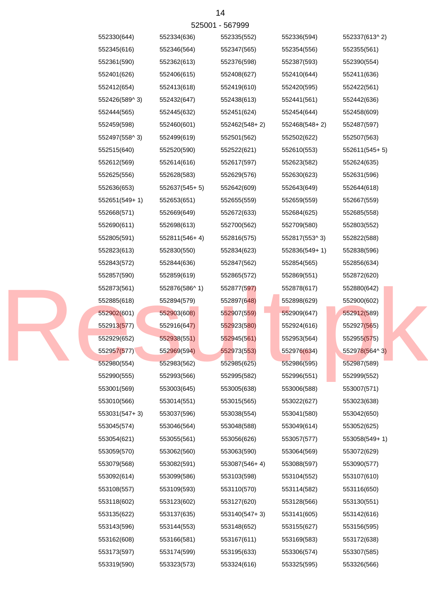|  | 552330(644)   | 552334(636)   | 552335(552)   | 552336(594)     | 552337(613^2) |
|--|---------------|---------------|---------------|-----------------|---------------|
|  | 552345(616)   | 552346(564)   | 552347(565)   | 552354(556)     | 552355(561)   |
|  | 552361(590)   | 552362(613)   | 552376(598)   | 552387(593)     | 552390(554)   |
|  | 552401(626)   | 552406(615)   | 552408(627)   | 552410(644)     | 552411(636)   |
|  | 552412(654)   | 552413(618)   | 552419(610)   | 552420(595)     | 552422(561)   |
|  | 552426(589^3) | 552432(647)   | 552438(613)   | 552441(561)     | 552442(636)   |
|  | 552444(565)   | 552445(632)   | 552451(624)   | 552454(644)     | 552458(609)   |
|  | 552459(598)   | 552460(601)   | 552462(548+2) | 552468(548+2)   | 552487(597)   |
|  | 552497(558^3) | 552499(619)   | 552501(562)   | 552502(622)     | 552507(563)   |
|  | 552515(640)   | 552520(590)   | 552522(621)   | 552610(553)     | 552611(545+5) |
|  | 552612(569)   | 552614(616)   | 552617(597)   | 552623(582)     | 552624(635)   |
|  | 552625(556)   | 552628(583)   | 552629(576)   | 552630(623)     | 552631(596)   |
|  | 552636(653)   | 552637(545+5) | 552642(609)   | 552643(649)     | 552644(618)   |
|  | 552651(549+1) | 552653(651)   | 552655(559)   | 552659(559)     | 552667(559)   |
|  | 552668(571)   | 552669(649)   | 552672(633)   | 552684(625)     | 552685(558)   |
|  | 552690(611)   | 552698(613)   | 552700(562)   | 552709(580)     | 552803(552)   |
|  | 552805(591)   | 552811(546+4) | 552816(575)   | 552817(553^3)   | 552822(588)   |
|  | 552823(613)   | 552830(550)   | 552834(623)   | $552836(549+1)$ | 552838(596)   |
|  | 552843(572)   | 552844(636)   | 552847(562)   | 552854(565)     | 552856(634)   |
|  | 552857(590)   | 552859(619)   | 552865(572)   | 552869(551)     | 552872(620)   |
|  | 552873(561)   | 552876(586^1) | 552877(597)   | 552878(617)     | 552880(642)   |
|  | 552885(618)   | 552894(579)   | 552897(648)   | 552898(629)     | 552900(602)   |
|  | 552902(601)   | 552903(608)   | 552907(559)   | 552909(647)     | 552912(589)   |
|  | 552913(577)   | 552916(647)   | 552923(580)   | 552924(616)     | 552927(565)   |
|  | 552929(652)   | 552938(551)   | 552945(561)   | 552953(564)     | 552955(575)   |
|  | 552957(577)   | 552969(594)   | 552973(553)   | 552976(634)     | 552978(564^3) |
|  | 552980(554)   | 552983(562)   | 552985(625)   | 552986(595)     | 552987(589)   |
|  | 552990(555)   | 552993(566)   | 552995(582)   | 552996(551)     | 552999(552)   |
|  | 553001(569)   | 553003(645)   | 553005(638)   | 553006(588)     | 553007(571)   |
|  | 553010(566)   | 553014(551)   | 553015(565)   | 553022(627)     | 553023(638)   |
|  | 553031(547+3) | 553037(596)   | 553038(554)   | 553041(580)     | 553042(650)   |
|  | 553045(574)   | 553046(564)   | 553048(588)   | 553049(614)     | 553052(625)   |
|  | 553054(621)   | 553055(561)   | 553056(626)   | 553057(577)     | 553058(549+1) |
|  | 553059(570)   | 553062(560)   | 553063(590)   | 553064(569)     | 553072(629)   |
|  | 553079(568)   | 553082(591)   | 553087(546+4) | 553088(597)     | 553090(577)   |
|  | 553092(614)   | 553099(586)   | 553103(598)   | 553104(552)     | 553107(610)   |
|  | 553108(557)   | 553109(593)   | 553110(570)   | 553114(582)     | 553116(650)   |
|  | 553118(602)   | 553123(602)   | 553127(620)   | 553128(566)     | 553130(551)   |
|  | 553135(622)   | 553137(635)   | 553140(547+3) | 553141(605)     | 553142(616)   |
|  | 553143(596)   | 553144(553)   | 553148(652)   | 553155(627)     | 553156(595)   |
|  | 553162(608)   | 553166(581)   | 553167(611)   | 553169(583)     | 553172(638)   |
|  | 553173(597)   | 553174(599)   | 553195(633)   | 553306(574)     | 553307(585)   |
|  | 553319(590)   | 553323(573)   | 553324(616)   | 553325(595)     | 553326(566)   |
|  |               |               |               |                 |               |

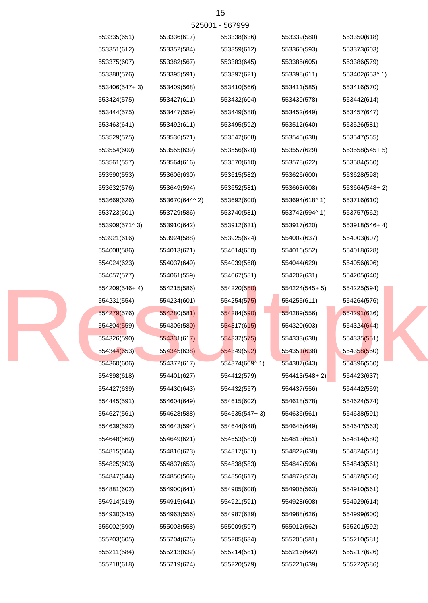| 525001 - 567999 |               |               |                            |               |               |  |  |
|-----------------|---------------|---------------|----------------------------|---------------|---------------|--|--|
|                 | 553335(651)   | 553336(617)   | 553338(636)                | 553339(580)   | 553350(618)   |  |  |
|                 | 553351(612)   | 553352(584)   | 553359(612)                | 553360(593)   | 553373(603)   |  |  |
|                 | 553375(607)   | 553382(567)   | 553383(645)                | 553385(605)   | 553386(579)   |  |  |
|                 | 553388(576)   | 553395(591)   | 553397(621)                | 553398(611)   | 553402(653^1) |  |  |
|                 | 553406(547+3) | 553409(568)   | 553410(566)                | 553411(585)   | 553416(570)   |  |  |
|                 | 553424(575)   | 553427(611)   | 553432(604)                | 553439(578)   | 553442(614)   |  |  |
|                 | 553444(575)   | 553447(559)   | 553449(588)                | 553452(649)   | 553457(647)   |  |  |
|                 | 553463(641)   | 553492(611)   | 553495(592)                | 553512(640)   | 553526(581)   |  |  |
|                 | 553529(575)   | 553536(571)   | 553542(608)                | 553545(638)   | 553547(565)   |  |  |
|                 | 553554(600)   | 553555(639)   | 553556(620)                | 553557(629)   | 553558(545+5) |  |  |
|                 | 553561(557)   | 553564(616)   | 553570(610)                | 553578(622)   | 553584(560)   |  |  |
|                 | 553590(553)   | 553606(630)   | 553615(582)                | 553626(600)   | 553628(598)   |  |  |
|                 | 553632(576)   | 553649(594)   | 553652(581)                | 553663(608)   | 553664(548+2) |  |  |
|                 | 553669(626)   | 553670(644^2) | 553692(600)                | 553694(618^1) | 553716(610)   |  |  |
|                 | 553723(601)   | 553729(586)   | 553740(581)                | 553742(594^1) | 553757(562)   |  |  |
|                 | 553909(571^3) | 553910(642)   | 553912(631)                | 553917(620)   | 553918(546+4) |  |  |
|                 | 553921(616)   | 553924(588)   | 553925(624)                | 554002(637)   | 554003(607)   |  |  |
|                 | 554008(586)   | 554013(621)   | 554014(650)                | 554016(552)   | 554018(628)   |  |  |
|                 | 554024(623)   | 554037(649)   | 554039(568)                | 554044(629)   | 554056(606)   |  |  |
|                 | 554057(577)   | 554061(559)   | 554067(581)                | 554202(631)   | 554205(640)   |  |  |
|                 | 554209(546+4) | 554215(586)   | 554220(550)                | 554224(545+5) | 554225(594)   |  |  |
|                 | 554231(554)   | 554234(601)   | 554254(575)                | 554255(611)   | 554264(576)   |  |  |
|                 | 554279(576)   | 554280(581)   | 554284(590)                | 554289(556)   | 554291(636)   |  |  |
|                 | 554304(559)   | 554306(580)   | 554317(615)                | 554320(603)   | 554324(644)   |  |  |
|                 | 554326(590)   | 554331(617)   | 554332(575)                | 554333(638)   | 554335(551)   |  |  |
|                 | 554344(653)   | 554345(638)   | 554349(592)                | 554351(638)   | 554358(550)   |  |  |
|                 | 554360(606)   | 554372(617)   | 554374(609 <sup>1</sup> 1) | 554387(643)   | 554396(560)   |  |  |
|                 | 554398(618)   | 554401(627)   | 554412(579)                | 554413(548+2) | 554423(637)   |  |  |
|                 | 554427(639)   | 554430(643)   | 554432(557)                | 554437(556)   | 554442(559)   |  |  |
|                 | 554445(591)   | 554604(649)   | 554615(602)                | 554618(578)   | 554624(574)   |  |  |
|                 | 554627(561)   | 554628(588)   | 554635(547+3)              | 554636(561)   | 554638(591)   |  |  |
|                 | 554639(592)   | 554643(594)   | 554644(648)                | 554646(649)   | 554647(563)   |  |  |
|                 | 554648(560)   | 554649(621)   | 554653(583)                | 554813(651)   | 554814(580)   |  |  |
|                 | 554815(604)   | 554816(623)   | 554817(651)                | 554822(638)   | 554824(551)   |  |  |
|                 | 554825(603)   | 554837(653)   | 554838(583)                | 554842(596)   | 554843(561)   |  |  |
|                 | 554847(644)   | 554850(566)   | 554856(617)                | 554872(553)   | 554878(566)   |  |  |
|                 | 554881(602)   | 554900(641)   | 554905(608)                | 554906(563)   | 554910(561)   |  |  |
|                 | 554914(619)   | 554915(641)   | 554921(591)                | 554928(608)   | 554929(614)   |  |  |
|                 | 554930(645)   | 554963(556)   | 554987(639)                | 554988(626)   | 554999(600)   |  |  |
|                 | 555002(590)   | 555003(558)   | 555009(597)                | 555012(562)   | 555201(592)   |  |  |
|                 | 555203(605)   | 555204(626)   | 555205(634)                | 555206(581)   | 555210(581)   |  |  |
|                 | 555211(584)   | 555213(632)   | 555214(581)                | 555216(642)   | 555217(626)   |  |  |
|                 | 555218(618)   | 555219(624)   | 555220(579)                | 555221(639)   | 555222(586)   |  |  |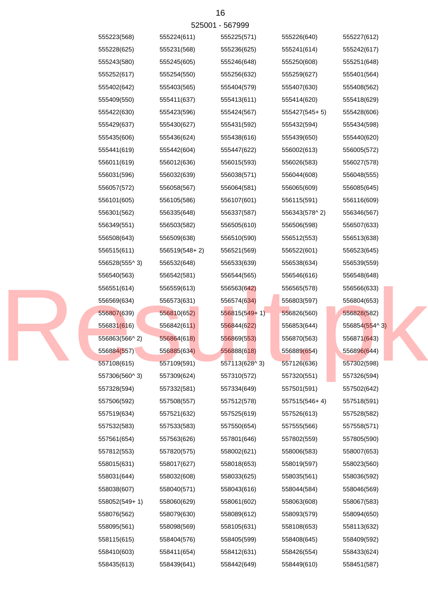| 555223(568)   | 555224(611)   | 555225(571)                  | 555226(640)   | 555227(612)   |
|---------------|---------------|------------------------------|---------------|---------------|
| 555228(625)   | 555231(568)   | 555236(625)                  | 555241(614)   | 555242(617)   |
| 555243(580)   | 555245(605)   | 555246(648)                  | 555250(608)   | 555251(648)   |
| 555252(617)   | 555254(550)   | 555256(632)                  | 555259(627)   | 555401(564)   |
| 555402(642)   | 555403(565)   | 555404(579)                  | 555407(630)   | 555408(562)   |
| 555409(550)   | 555411(637)   | 555413(611)                  | 555414(620)   | 555418(629)   |
| 555422(630)   | 555423(596)   | 555424(567)                  | 555427(545+5) | 555428(606)   |
| 555429(637)   | 555430(627)   | 555431(592)                  | 555432(594)   | 555434(598)   |
| 555435(606)   | 555436(624)   | 555438(616)                  | 555439(650)   | 555440(620)   |
| 555441(619)   | 555442(604)   | 555447(622)                  | 556002(613)   | 556005(572)   |
| 556011(619)   | 556012(636)   | 556015(593)                  | 556026(583)   | 556027(578)   |
| 556031(596)   | 556032(639)   | 556038(571)                  | 556044(608)   | 556048(555)   |
| 556057(572)   | 556058(567)   | 556064(581)                  | 556065(609)   | 556085(645)   |
| 556101(605)   | 556105(586)   | 556107(601)                  | 556115(591)   | 556116(609)   |
| 556301(562)   | 556335(648)   | 556337(587)                  | 556343(578^2) | 556346(567)   |
| 556349(551)   | 556503(582)   | 556505(610)                  | 556506(598)   | 556507(633)   |
| 556508(643)   | 556509(638)   | 556510(590)                  | 556512(553)   | 556513(638)   |
| 556515(611)   | 556519(548+2) | 556521(569)                  | 556522(601)   | 556523(645)   |
| 556528(555^3) | 556532(648)   | 556533(639)                  | 556538(634)   | 556539(559)   |
| 556540(563)   | 556542(581)   | 556544(565)                  | 556546(616)   | 556548(648)   |
| 556551(614)   | 556559(613)   | 556563(642)                  | 556565(578)   | 556566(633)   |
| 556569(634)   | 556573(631)   | 556574(634)                  | 556803(597)   | 556804(653)   |
| 556807(639)   | 556810(652)   | $556815(549+1)$              | 556826(560)   | 556828(582)   |
| 556831(616)   | 556842(611)   | 556844(622)                  | 556853(644)   | 556854(554^3) |
| 556863(566^2) | 556864(618)   | 556869(553)                  | 556870(563)   | 556871(643)   |
| 556884(557)   | 556885(634)   | 556888(618)                  | 556889(654)   | 556896(644)   |
| 557108(615)   | 557109(591)   | 557113(628 <sup>1</sup> , 3) | 557126(636)   | 557302(598)   |
| 557306(560^3) | 557309(624)   | 557310(572)                  | 557320(551)   | 557326(594)   |
| 557328(594)   | 557332(581)   | 557334(649)                  | 557501(591)   | 557502(642)   |
| 557506(592)   | 557508(557)   | 557512(578)                  | 557515(546+4) | 557518(591)   |
| 557519(634)   | 557521(632)   | 557525(619)                  | 557526(613)   | 557528(582)   |
| 557532(583)   | 557533(583)   | 557550(654)                  | 557555(566)   | 557558(571)   |
| 557561(654)   | 557563(626)   | 557801(646)                  | 557802(559)   | 557805(590)   |
| 557812(553)   | 557820(575)   | 558002(621)                  | 558006(583)   | 558007(653)   |
| 558015(631)   | 558017(627)   | 558018(653)                  | 558019(597)   | 558023(560)   |
| 558031(644)   | 558032(608)   | 558033(625)                  | 558035(561)   | 558036(592)   |
| 558038(607)   | 558040(571)   | 558043(616)                  | 558044(584)   | 558046(569)   |
| 558052(549+1) | 558060(629)   | 558061(602)                  | 558063(608)   | 558067(583)   |
| 558076(562)   | 558079(630)   | 558089(612)                  | 558093(579)   | 558094(650)   |
| 558095(561)   | 558098(569)   | 558105(631)                  | 558108(653)   | 558113(632)   |
| 558115(615)   | 558404(576)   | 558405(599)                  | 558408(645)   | 558409(592)   |
| 558410(603)   | 558411(654)   | 558412(631)                  | 558426(554)   | 558433(624)   |
| 558435(613)   | 558439(641)   | 558442(649)                  | 558449(610)   | 558451(587)   |
|               |               |                              |               |               |

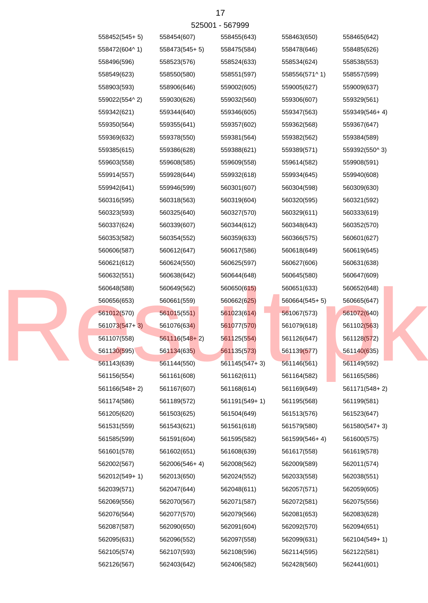| 558452(545+5) | 558454(607)     | 558455(643)     | 558463(650)   | 558465(642)   |
|---------------|-----------------|-----------------|---------------|---------------|
| 558472(604^1) | 558473(545+5)   | 558475(584)     | 558478(646)   | 558485(626)   |
| 558496(596)   | 558523(576)     | 558524(633)     | 558534(624)   | 558538(553)   |
| 558549(623)   | 558550(580)     | 558551(597)     | 558556(571^1) | 558557(599)   |
| 558903(593)   | 558906(646)     | 559002(605)     | 559005(627)   | 559009(637)   |
| 559022(554^2) | 559030(626)     | 559032(560)     | 559306(607)   | 559329(561)   |
| 559342(621)   | 559344(640)     | 559346(605)     | 559347(563)   | 559349(546+4) |
| 559350(564)   | 559355(641)     | 559357(602)     | 559362(568)   | 559367(647)   |
| 559369(632)   | 559378(550)     | 559381(564)     | 559382(562)   | 559384(589)   |
| 559385(615)   | 559386(628)     | 559388(621)     | 559389(571)   | 559392(550^3) |
| 559603(558)   | 559608(585)     | 559609(558)     | 559614(582)   | 559908(591)   |
| 559914(557)   | 559928(644)     | 559932(618)     | 559934(645)   | 559940(608)   |
| 559942(641)   | 559946(599)     | 560301(607)     | 560304(598)   | 560309(630)   |
| 560316(595)   | 560318(563)     | 560319(604)     | 560320(595)   | 560321(592)   |
| 560323(593)   | 560325(640)     | 560327(570)     | 560329(611)   | 560333(619)   |
| 560337(624)   | 560339(607)     | 560344(612)     | 560348(643)   | 560352(570)   |
| 560353(582)   | 560354(552)     | 560359(633)     | 560366(575)   | 560601(627)   |
| 560606(587)   | 560612(647)     | 560617(586)     | 560618(649)   | 560619(645)   |
| 560621(612)   | 560624(550)     | 560625(597)     | 560627(606)   | 560631(638)   |
| 560632(551)   | 560638(642)     | 560644(648)     | 560645(580)   | 560647(609)   |
| 560648(588)   | 560649(562)     | 560650(615)     | 560651(633)   | 560652(648)   |
| 560656(653)   | 560661(559)     | 560662(625)     | 560664(545+5) | 560665(647)   |
| 561012(570)   | 561015(551)     | 561023(614)     | 561067(573)   | 561072(640)   |
| 561073(547+3) | 561076(634)     | 561077(570)     | 561079(618)   | 561102(563)   |
| 561107(558)   | $561116(548+2)$ | 561125(554)     | 561126(647)   | 561128(572)   |
| 561130(595)   | 561134(635)     | 561135(573)     | 561139(577)   | 561140(635)   |
| 561143(639)   | 561144(550)     | $561145(547+3)$ | 561146(561)   | 561149(592)   |
| 561156(554)   | 561161(608)     | 561162(611)     | 561164(582)   | 561165(586)   |
| 561166(548+2) | 561167(607)     | 561168(614)     | 561169(649)   | 561171(548+2) |
| 561174(586)   | 561189(572)     | 561191(549+1)   | 561195(568)   | 561199(581)   |
| 561205(620)   | 561503(625)     | 561504(649)     | 561513(576)   | 561523(647)   |
| 561531(559)   | 561543(621)     | 561561(618)     | 561579(580)   | 561580(547+3) |
| 561585(599)   | 561591(604)     | 561595(582)     | 561599(546+4) | 561600(575)   |
| 561601(578)   | 561602(651)     | 561608(639)     | 561617(558)   | 561619(578)   |
| 562002(567)   | 562006(546+4)   | 562008(562)     | 562009(589)   | 562011(574)   |
| 562012(549+1) | 562013(650)     | 562024(552)     | 562033(558)   | 562038(551)   |
| 562039(571)   | 562047(644)     | 562048(611)     | 562057(571)   | 562059(605)   |
| 562069(556)   | 562070(567)     | 562071(587)     | 562072(581)   | 562075(556)   |
| 562076(564)   | 562077(570)     | 562079(566)     | 562081(653)   | 562083(628)   |
| 562087(587)   | 562090(650)     | 562091(604)     | 562092(570)   | 562094(651)   |
| 562095(631)   | 562096(552)     | 562097(558)     | 562099(631)   | 562104(549+1) |

562105(574) 562107(593) 562108(596) 562114(595) 562122(581)

562126(567) 562403(642) 562406(582) 562428(560) 562441(601)



17 525001 - 567999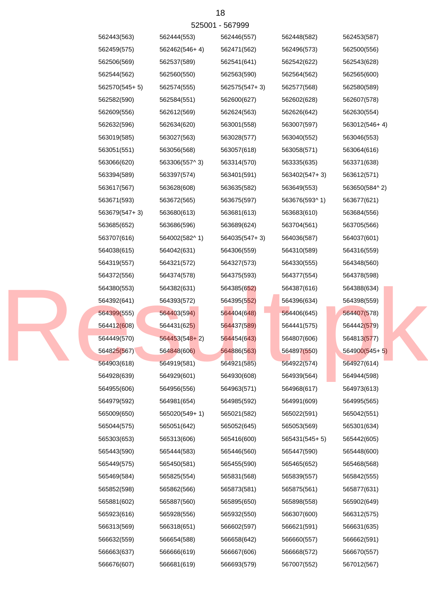525001 - 567999

| 562443(563)   | 562444(553)     | 562446(557)   | 562448(582)   | 562453(587)     |
|---------------|-----------------|---------------|---------------|-----------------|
| 562459(575)   | 562462(546+4)   | 562471(562)   | 562496(573)   | 562500(556)     |
| 562506(569)   | 562537(589)     | 562541(641)   | 562542(622)   | 562543(628)     |
| 562544(562)   | 562560(550)     | 562563(590)   | 562564(562)   | 562565(600)     |
| 562570(545+5) | 562574(555)     | 562575(547+3) | 562577(568)   | 562580(589)     |
| 562582(590)   | 562584(551)     | 562600(627)   | 562602(628)   | 562607(578)     |
| 562609(556)   | 562612(569)     | 562624(563)   | 562626(642)   | 562630(554)     |
| 562632(596)   | 562634(620)     | 563001(558)   | 563007(597)   | 563012(546+4)   |
| 563019(585)   | 563027(563)     | 563028(577)   | 563040(552)   | 563046(553)     |
| 563051(551)   | 563056(568)     | 563057(618)   | 563058(571)   | 563064(616)     |
| 563066(620)   | 563306(557^3)   | 563314(570)   | 563335(635)   | 563371(638)     |
| 563394(589)   | 563397(574)     | 563401(591)   | 563402(547+3) | 563612(571)     |
| 563617(567)   | 563628(608)     | 563635(582)   | 563649(553)   | 563650(584^2)   |
| 563671(593)   | 563672(565)     | 563675(597)   | 563676(593^1) | 563677(621)     |
| 563679(547+3) | 563680(613)     | 563681(613)   | 563683(610)   | 563684(556)     |
| 563685(652)   | 563686(596)     | 563689(624)   | 563704(561)   | 563705(566)     |
| 563707(616)   | 564002(582^1)   | 564035(547+3) | 564036(587)   | 564037(601)     |
| 564038(615)   | 564042(631)     | 564306(559)   | 564310(589)   | 564316(559)     |
| 564319(557)   | 564321(572)     | 564327(573)   | 564330(555)   | 564348(560)     |
| 564372(556)   | 564374(578)     | 564375(593)   | 564377(554)   | 564378(598)     |
| 564380(553)   | 564382(631)     | 564385(652)   | 564387(616)   | 564388(634)     |
| 564392(641)   | 564393(572)     | 564395(552)   | 564396(634)   | 564398(559)     |
| 564399(555)   | 564403(594)     | 564404(648)   | 564406(645)   | 564407(578)     |
| 564412(608)   | 564431(625)     | 564437(589)   | 564441(575)   | 564442(579)     |
| 564449(570)   | $564453(548+2)$ | 564454(643)   | 564807(606)   | 564813(577)     |
| 564825(567)   | 564848(606)     | 564886(563)   | 564897(550)   | $564900(545+5)$ |
| 564903(618)   | 564919(581)     | 564921(585)   | 564922(574)   | 564927(614)     |
| 564928(639)   | 564929(601)     | 564930(608)   | 564939(564)   | 564944(598)     |
| 564955(606)   | 564956(556)     | 564963(571)   | 564968(617)   | 564973(613)     |
| 564979(592)   | 564981(654)     | 564985(592)   | 564991(609)   | 564995(565)     |
| 565009(650)   | 565020(549+1)   | 565021(582)   | 565022(591)   | 565042(551)     |
| 565044(575)   | 565051(642)     | 565052(645)   | 565053(569)   | 565301(634)     |
| 565303(653)   | 565313(606)     | 565416(600)   | 565431(545+5) | 565442(605)     |
| 565443(590)   | 565444(583)     | 565446(560)   | 565447(590)   | 565448(600)     |
| 565449(575)   | 565450(581)     | 565455(590)   | 565465(652)   | 565468(568)     |
| 565469(584)   | 565825(554)     | 565831(568)   | 565839(557)   | 565842(555)     |
| 565852(598)   | 565862(566)     | 565873(581)   | 565875(561)   | 565877(631)     |
| 565881(602)   | 565887(560)     | 565895(650)   | 565898(558)   | 565902(649)     |
| 565923(616)   | 565928(556)     | 565932(550)   | 566307(600)   | 566312(575)     |
| 566313(569)   | 566318(651)     | 566602(597)   | 566621(591)   | 566631(635)     |
| 566632(559)   | 566654(588)     | 566658(642)   | 566660(557)   | 566662(591)     |
| 566663(637)   | 566666(619)     | 566667(606)   | 566668(572)   | 566670(557)     |
| 566676(607)   | 566681(619)     | 566693(579)   | 567007(552)   | 567012(567)     |
|               |                 |               |               |                 |

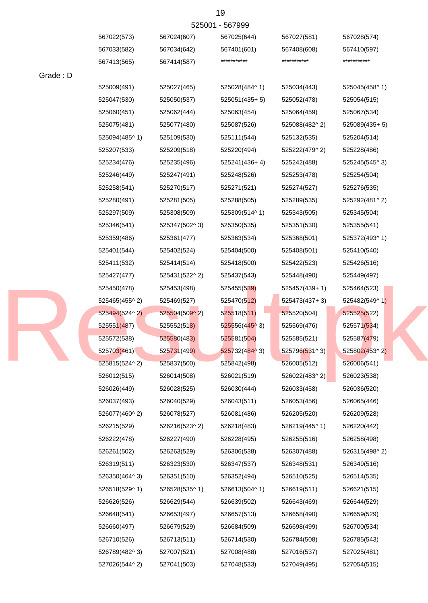# 525001 - 567999

|          | 567022(573)   | 567024(607)            | 567025(644)     | 567027(581)     | 567028(574)     |
|----------|---------------|------------------------|-----------------|-----------------|-----------------|
|          | 567033(582)   | 567034(642)            | 567401(601)     | 567408(608)     | 567410(597)     |
|          | 567413(565)   | 567414(587)            | ***********     | ***********     | ***********     |
| Grade: D |               |                        |                 |                 |                 |
|          | 525009(491)   | 525027(465)            | 525028(484^1)   | 525034(443)     | 525045(458^1)   |
|          | 525047(530)   | 525050(537)            | $525051(435+5)$ | 525052(478)     | 525054(515)     |
|          | 525060(451)   | 525062(444)            | 525063(454)     | 525064(459)     | 525067(534)     |
|          | 525075(481)   | 525077(480)            | 525087(526)     | 525088(482^2)   | $525089(435+5)$ |
|          | 525094(485^1) | 525109(530)            | 525111(544)     | 525132(535)     | 525204(514)     |
|          | 525207(533)   | 525209(518)            | 525220(494)     | 525222(479^2)   | 525228(486)     |
|          | 525234(476)   | 525235(496)            | 525241(436+4)   | 525242(488)     | 525245(545^3)   |
|          | 525246(449)   | 525247(491)            | 525248(526)     | 525253(478)     | 525254(504)     |
|          | 525258(541)   | 525270(517)            | 525271(521)     | 525274(527)     | 525276(535)     |
|          | 525280(491)   | 525281(505)            | 525288(505)     | 525289(535)     | 525292(481^2)   |
|          | 525297(509)   | 525308(509)            | 525309(514^1)   | 525343(505)     | 525345(504)     |
|          | 525346(541)   | 525347(502^3)          | 525350(535)     | 525351(530)     | 525355(541)     |
|          | 525359(486)   | 525361(477)            | 525363(534)     | 525368(501)     | 525372(493^1)   |
|          | 525401(544)   | 525402(524)            | 525404(500)     | 525408(501)     | 525410(540)     |
|          | 525411(532)   | 525414(514)            | 525418(500)     | 525422(523)     | 525426(516)     |
|          | 525427(477)   | 525431(522^2)          | 525437(543)     | 525448(490)     | 525449(497)     |
|          | 525450(478)   | 525453(498)            | 525455(539)     | 525457(439+1)   | 525464(523)     |
|          | 525465(455^2) | 525469(527)            | 525470(512)     | $525473(437+3)$ | 525482(549^1)   |
|          | 525494(524^2) | $525504(509^{\circ}2)$ | 525518(511)     | 525520(504)     | 525525(522)     |
|          | 525551(487)   | 525552(518)            | 525556(445^3)   | 525569(476)     | 525571(534)     |
|          | 525572(538)   | 525580(483)            | 525581(504)     | 525585(521)     | 525587(479)     |
|          | 525703(461)   | 525731(499)            | 525732(484^3)   | 525796(531^3)   | 525802(453^2)   |
|          | 525815(524^2) | 525837(500)            | 525842(498)     | 526005(512)     | 526006(541)     |
|          | 526012(515)   | 526014(508)            | 526021(519)     | 526022(483^2)   | 526023(538)     |
|          | 526026(449)   | 526028(525)            | 526030(444)     | 526033(458)     | 526036(520)     |
|          | 526037(493)   | 526040(529)            | 526043(511)     | 526053(456)     | 526065(446)     |
|          | 526077(460^2) | 526078(527)            | 526081(486)     | 526205(520)     | 526209(528)     |
|          | 526215(529)   | 526216(523^2)          | 526218(483)     | 526219(445^1)   | 526220(442)     |
|          | 526222(478)   | 526227(490)            | 526228(495)     | 526255(516)     | 526258(498)     |
|          | 526261(502)   | 526263(529)            | 526306(538)     | 526307(488)     | 526315(498^2)   |
|          | 526319(511)   | 526323(530)            | 526347(537)     | 526348(531)     | 526349(516)     |
|          | 526350(464^3) | 526351(510)            | 526352(494)     | 526510(525)     | 526514(535)     |
|          | 526518(529^1) | 526528(535^1)          | 526613(504^1)   | 526619(511)     | 526621(515)     |
|          | 526626(526)   | 526629(544)            | 526639(502)     | 526643(469)     | 526644(529)     |
|          | 526648(541)   | 526653(497)            | 526657(513)     | 526658(490)     | 526659(529)     |
|          | 526660(497)   | 526679(529)            | 526684(509)     | 526698(499)     | 526700(534)     |
|          | 526710(526)   | 526713(511)            | 526714(530)     | 526784(508)     | 526785(543)     |
|          | 526789(482^3) | 527007(521)            | 527008(488)     | 527016(537)     | 527025(481)     |
|          | 527026(544^2) | 527041(503)            | 527048(533)     | 527049(495)     | 527054(515)     |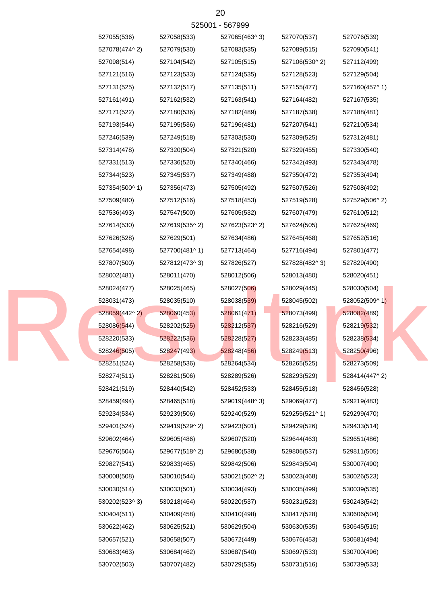| 527055(536)   | 527058(533)   | 527065(463^3) | 527070(537)   | 527076(539)   |
|---------------|---------------|---------------|---------------|---------------|
| 527078(474^2) | 527079(530)   | 527083(535)   | 527089(515)   | 527090(541)   |
| 527098(514)   | 527104(542)   | 527105(515)   | 527106(530^2) | 527112(499)   |
| 527121(516)   | 527123(533)   | 527124(535)   | 527128(523)   | 527129(504)   |
| 527131(525)   | 527132(517)   | 527135(511)   | 527155(477)   | 527160(457^1) |
| 527161(491)   | 527162(532)   | 527163(541)   | 527164(482)   | 527167(535)   |
| 527171(522)   | 527180(536)   | 527182(489)   | 527187(538)   | 527188(481)   |
| 527193(544)   | 527195(536)   | 527196(481)   | 527207(541)   | 527210(534)   |
| 527246(539)   | 527249(518)   | 527303(530)   | 527309(525)   | 527312(481)   |
| 527314(478)   | 527320(504)   | 527321(520)   | 527329(455)   | 527330(540)   |
| 527331(513)   | 527336(520)   | 527340(466)   | 527342(493)   | 527343(478)   |
| 527344(523)   | 527345(537)   | 527349(488)   | 527350(472)   | 527353(494)   |
| 527354(500^1) | 527356(473)   | 527505(492)   | 527507(526)   | 527508(492)   |
| 527509(480)   | 527512(516)   | 527518(453)   | 527519(528)   | 527529(506^2) |
| 527536(493)   | 527547(500)   | 527605(532)   | 527607(479)   | 527610(512)   |
| 527614(530)   | 527619(535^2) | 527623(523^2) | 527624(505)   | 527625(469)   |
| 527626(528)   | 527629(501)   | 527634(486)   | 527645(468)   | 527652(516)   |
| 527654(498)   | 527700(481^1) | 527713(464)   | 527716(494)   | 527801(477)   |
| 527807(500)   | 527812(473^3) | 527826(527)   | 527828(482^3) | 527829(490)   |
| 528002(481)   | 528011(470)   | 528012(506)   | 528013(480)   | 528020(451)   |
| 528024(477)   | 528025(465)   | 528027(506)   | 528029(445)   | 528030(504)   |
| 528031(473)   | 528035(510)   | 528038(539)   | 528045(502)   | 528052(509^1) |
| 528059(442^2) | 528060(453)   | 528061(471)   | 528073(499)   | 528082(489)   |
| 528086(544)   | 528202(525)   | 528212(537)   | 528216(529)   | 528219(532)   |
| 528220(533)   | 528222(536)   | 528228(527)   | 528233(485)   | 528238(534)   |
| 528246(505)   | 528247(493)   | 528248(456)   | 528249(513)   | 528250(496)   |
| 528251(524)   | 528258(536)   | 528264(534)   | 528265(525)   | 528273(509)   |
| 528274(511)   | 528281(506)   | 528289(526)   | 528293(529)   | 528414(447^2) |
| 528421(519)   | 528440(542)   | 528452(533)   | 528455(518)   | 528456(528)   |
| 528459(494)   | 528465(518)   | 529019(448^3) | 529069(477)   | 529219(483)   |
| 529234(534)   | 529239(506)   | 529240(529)   | 529255(521^1) | 529299(470)   |
| 529401(524)   | 529419(529^2) | 529423(501)   | 529429(526)   | 529433(514)   |
| 529602(464)   | 529605(486)   | 529607(520)   | 529644(463)   | 529651(486)   |
| 529676(504)   | 529677(518^2) | 529680(538)   | 529806(537)   | 529811(505)   |
| 529827(541)   | 529833(465)   | 529842(506)   | 529843(504)   | 530007(490)   |
| 530008(508)   | 530010(544)   | 530021(502^2) | 530023(468)   | 530026(523)   |
| 530030(514)   | 530033(501)   | 530034(493)   | 530035(499)   | 530039(535)   |
| 530202(523^3) | 530218(464)   | 530220(537)   | 530231(523)   | 530243(542)   |
| 530404(511)   | 530409(458)   | 530410(498)   | 530417(528)   | 530606(504)   |
| 530622(462)   | 530625(521)   | 530629(504)   | 530630(535)   | 530645(515)   |
| 530657(521)   | 530658(507)   | 530672(449)   | 530676(453)   | 530681(494)   |
| 530683(463)   | 530684(462)   | 530687(540)   | 530697(533)   | 530700(496)   |
| 530702(503)   | 530707(482)   | 530729(535)   | 530731(516)   | 530739(533)   |

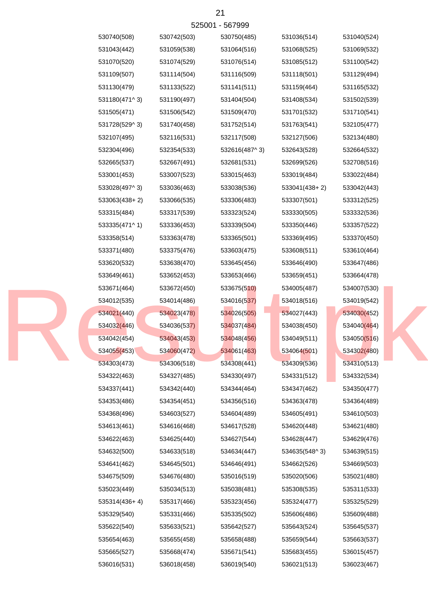|  | 530740(508)   | 530742(503) | 530750(485)   | 531036(514)   | 531040(524) |
|--|---------------|-------------|---------------|---------------|-------------|
|  | 531043(442)   | 531059(538) | 531064(516)   | 531068(525)   | 531069(532) |
|  | 531070(520)   | 531074(529) | 531076(514)   | 531085(512)   | 531100(542) |
|  | 531109(507)   | 531114(504) | 531116(509)   | 531118(501)   | 531129(494) |
|  | 531130(479)   | 531133(522) | 531141(511)   | 531159(464)   | 531165(532) |
|  | 531180(471^3) | 531190(497) | 531404(504)   | 531408(534)   | 531502(539) |
|  | 531505(471)   | 531506(542) | 531509(470)   | 531701(532)   | 531710(541) |
|  | 531728(529^3) | 531740(458) | 531752(514)   | 531763(541)   | 532105(477) |
|  | 532107(495)   | 532116(531) | 532117(508)   | 532127(506)   | 532134(480) |
|  | 532304(496)   | 532354(533) | 532616(487^3) | 532643(528)   | 532664(532) |
|  | 532665(537)   | 532667(491) | 532681(531)   | 532699(526)   | 532708(516) |
|  | 533001(453)   | 533007(523) | 533015(463)   | 533019(484)   | 533022(484) |
|  | 533028(497^3) | 533036(463) | 533038(536)   | 533041(438+2) | 533042(443) |
|  | 533063(438+2) | 533066(535) | 533306(483)   | 533307(501)   | 533312(525) |
|  | 533315(484)   | 533317(539) | 533323(524)   | 533330(505)   | 533332(536) |
|  | 533335(471^1) | 533336(453) | 533339(504)   | 533350(446)   | 533357(522) |
|  | 533358(514)   | 533363(478) | 533365(501)   | 533369(495)   | 533370(450) |
|  | 533371(480)   | 533375(476) | 533603(475)   | 533608(511)   | 533610(464) |
|  | 533620(532)   | 533638(470) | 533645(456)   | 533646(490)   | 533647(486) |
|  | 533649(461)   | 533652(453) | 533653(466)   | 533659(451)   | 533664(478) |
|  | 533671(464)   | 533672(450) | 533675(510)   | 534005(487)   | 534007(530) |
|  | 534012(535)   | 534014(486) | 534016(537)   | 534018(516)   | 534019(542) |
|  | 534021(440)   | 534023(478) | 534026(505)   | 534027(443)   | 534030(452) |
|  | 534032(446)   | 534036(537) | 534037(484)   | 534038(450)   | 534040(464) |
|  | 534042(454)   | 534043(453) | 534048(456)   | 534049(511)   | 534050(516) |
|  | 534055(453)   | 534060(472) | 534061(463)   | 534064(501)   | 534302(480) |
|  | 534303(473)   | 534306(518) | 534308(441)   | 534309(536)   | 534310(513) |
|  | 534322(463)   | 534327(485) | 534330(497)   | 534331(512)   | 534332(534) |
|  | 534337(441)   | 534342(440) | 534344(464)   | 534347(462)   | 534350(477) |
|  | 534353(486)   | 534354(451) | 534356(516)   | 534363(478)   | 534364(489) |
|  | 534368(496)   | 534603(527) | 534604(489)   | 534605(491)   | 534610(503) |
|  | 534613(461)   | 534616(468) | 534617(528)   | 534620(448)   | 534621(480) |
|  | 534622(463)   | 534625(440) | 534627(544)   | 534628(447)   | 534629(476) |
|  | 534632(500)   | 534633(518) | 534634(447)   | 534635(548^3) | 534639(515) |
|  | 534641(462)   | 534645(501) | 534646(491)   | 534662(526)   | 534669(503) |
|  | 534675(509)   | 534676(480) | 535016(519)   | 535020(506)   | 535021(480) |
|  | 535023(449)   | 535034(513) | 535038(481)   | 535308(535)   | 535311(533) |
|  | 535314(436+4) | 535317(466) | 535323(456)   | 535324(477)   | 535325(529) |
|  | 535329(540)   | 535331(466) | 535335(502)   | 535606(486)   | 535609(488) |
|  | 535622(540)   | 535633(521) | 535642(527)   | 535643(524)   | 535645(537) |
|  | 535654(463)   | 535655(458) | 535658(488)   | 535659(544)   | 535663(537) |
|  | 535665(527)   | 535668(474) | 535671(541)   | 535683(455)   | 536015(457) |
|  | 536016(531)   | 536018(458) | 536019(540)   | 536021(513)   | 536023(467) |
|  |               |             |               |               |             |

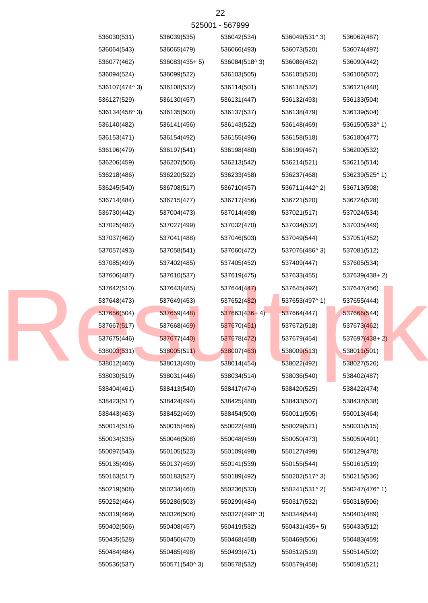| 536030(531)   | 536039(535)   | 536042(534)     | 536049(531^3) | 536062(487)   |
|---------------|---------------|-----------------|---------------|---------------|
| 536064(543)   | 536065(479)   | 536066(493)     | 536073(520)   | 536074(497)   |
| 536077(462)   | 536083(435+5) | 536084(518^3)   | 536086(452)   | 536090(442)   |
| 536094(524)   | 536099(522)   | 536103(505)     | 536105(520)   | 536106(507)   |
| 536107(474^3) | 536108(532)   | 536114(501)     | 536118(532)   | 536121(448)   |
| 536127(529)   | 536130(457)   | 536131(447)     | 536132(493)   | 536133(504)   |
| 536134(458^3) | 536135(500)   | 536137(537)     | 536138(479)   | 536139(504)   |
| 536140(482)   | 536141(456)   | 536143(522)     | 536148(469)   | 536150(533^1) |
| 536153(471)   | 536154(492)   | 536155(496)     | 536158(518)   | 536180(477)   |
| 536196(479)   | 536197(541)   | 536198(480)     | 536199(467)   | 536200(532)   |
| 536206(459)   | 536207(506)   | 536213(542)     | 536214(521)   | 536215(514)   |
| 536218(486)   | 536220(522)   | 536233(458)     | 536237(468)   | 536239(525^1) |
| 536245(540)   | 536708(517)   | 536710(457)     | 536711(442^2) | 536713(508)   |
| 536714(484)   | 536715(477)   | 536717(456)     | 536721(520)   | 536724(528)   |
| 536730(442)   | 537004(473)   | 537014(498)     | 537021(517)   | 537024(534)   |
| 537025(482)   | 537027(499)   | 537032(470)     | 537034(532)   | 537035(449)   |
| 537037(462)   | 537041(488)   | 537046(503)     | 537049(544)   | 537051(452)   |
| 537057(493)   | 537058(541)   | 537060(472)     | 537076(486^3) | 537081(512)   |
| 537085(499)   | 537402(485)   | 537405(452)     | 537409(447)   | 537605(534)   |
| 537606(487)   | 537610(537)   | 537619(475)     | 537633(455)   | 537639(438+2) |
| 537642(510)   | 537643(485)   | 537644(447)     | 537645(492)   | 537647(456)   |
| 537648(473)   | 537649(453)   | 537652(482)     | 537653(497^1) | 537655(444)   |
| 537656(504)   | 537659(448)   | $537663(436+4)$ | 537664(447)   | 537666(544)   |
| 537667(517)   | 537668(469)   | 537670(451)     | 537672(518)   | 537673(462)   |
| 537675(446)   | 537677(440)   | 537678(472)     | 537679(454)   | 537697(438+2) |
| 538003(531)   | 538005(511)   | 538007(463)     | 538009(513)   | 538011(501)   |
| 538012(460)   | 538013(490)   | 538014(454)     | 538022(492)   | 538027(526)   |
| 538030(519)   | 538031(446)   | 538034(514)     | 538036(540)   | 538402(487)   |
| 538404(461)   | 538413(540)   | 538417(474)     | 538420(525)   | 538422(474)   |
| 538423(517)   | 538424(494)   | 538425(480)     | 538433(507)   | 538437(538)   |
| 538443(463)   | 538452(469)   | 538454(500)     | 550011(505)   | 550013(464)   |
| 550014(518)   | 550015(466)   | 550022(480)     | 550029(521)   | 550031(515)   |
| 550034(535)   | 550046(508)   | 550048(459)     | 550050(473)   | 550059(491)   |
| 550097(543)   | 550105(523)   | 550109(498)     | 550127(499)   | 550129(478)   |
| 550135(496)   | 550137(459)   | 550141(539)     | 550155(544)   | 550161(519)   |
| 550163(517)   | 550183(527)   | 550189(492)     | 550202(517^3) | 550215(536)   |
| 550219(508)   | 550234(460)   | 550236(533)     | 550241(531^2) | 550247(476^1) |
| 550252(464)   | 550286(503)   | 550299(484)     | 550317(532)   | 550318(506)   |
| 550319(469)   | 550326(508)   | 550327(490^3)   | 550344(544)   | 550401(489)   |
| 550402(506)   | 550408(457)   | 550419(532)     | 550431(435+5) | 550433(512)   |
| 550435(528)   | 550450(470)   | 550468(458)     | 550469(506)   | 550483(459)   |
| 550484(484)   | 550485(498)   | 550493(471)     | 550512(519)   | 550514(502)   |
| 550536(537)   | 550571(540^3) | 550578(532)     | 550579(458)   | 550591(521)   |

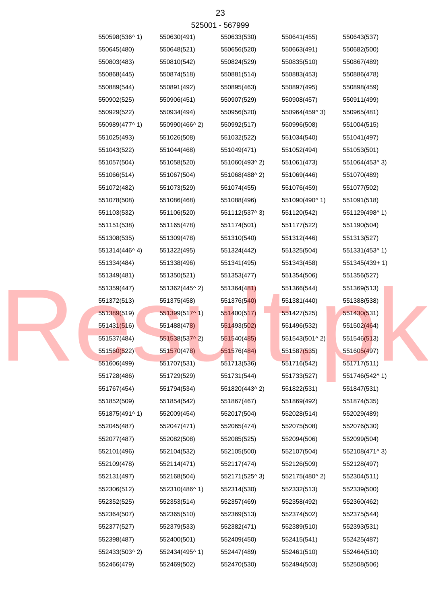|               |               | 525001 - 567999 |               |               |
|---------------|---------------|-----------------|---------------|---------------|
| 550598(536^1) | 550630(491)   | 550633(530)     | 550641(455)   | 550643(537)   |
| 550645(480)   | 550648(521)   | 550656(520)     | 550663(491)   | 550682(500)   |
| 550803(483)   | 550810(542)   | 550824(529)     | 550835(510)   | 550867(489)   |
| 550868(445)   | 550874(518)   | 550881(514)     | 550883(453)   | 550886(478)   |
| 550889(544)   | 550891(492)   | 550895(463)     | 550897(495)   | 550898(459)   |
| 550902(525)   | 550906(451)   | 550907(529)     | 550908(457)   | 550911(499)   |
| 550929(522)   | 550934(494)   | 550956(520)     | 550964(459^3) | 550965(481)   |
| 550989(477^1) | 550990(466^2) | 550992(517)     | 550996(508)   | 551004(515)   |
| 551025(493)   | 551026(508)   | 551032(522)     | 551034(540)   | 551041(497)   |
| 551043(522)   | 551044(468)   | 551049(471)     | 551052(494)   | 551053(501)   |
| 551057(504)   | 551058(520)   | 551060(493^2)   | 551061(473)   | 551064(453^3) |
| 551066(514)   | 551067(504)   | 551068(488^2)   | 551069(446)   | 551070(489)   |
| 551072(482)   | 551073(529)   | 551074(455)     | 551076(459)   | 551077(502)   |
| 551078(508)   | 551086(468)   | 551088(496)     | 551090(490^1) | 551091(518)   |
| 551103(532)   | 551106(520)   | 551112(537^3)   | 551120(542)   | 551129(498^1) |
| 551151(538)   | 551165(478)   | 551174(501)     | 551177(522)   | 551190(504)   |
| 551308(535)   | 551309(478)   | 551310(540)     | 551312(446)   | 551313(527)   |
| 551314(446^4) | 551322(495)   | 551324(442)     | 551325(504)   | 551331(453^1) |
| 551334(484)   | 551338(496)   | 551341(495)     | 551343(458)   | 551345(439+1) |
| 551349(481)   | 551350(521)   | 551353(477)     | 551354(506)   | 551356(527)   |
| 551359(447)   | 551362(445^2) | 551364(481)     | 551366(544)   | 551369(513)   |
| 551372(513)   | 551375(458)   | 551376(540)     | 551381(440)   | 551388(538)   |
| 551389(519)   | 551399(517^1) | 551400(517)     | 551427(525)   | 551430(531)   |
| 551431(516)   | 551488(478)   | 551493(502)     | 551496(532)   | 551502(464)   |
| 551537(484)   | 551538(537^2) | 551540(485)     | 551543(501^2) | 551546(513)   |
| 551560(522)   | 551570(478)   | 551576(484)     | 551587(535)   | 551605(497)   |
| 551606(499)   | 551707(531)   | 551713(536)     | 551716(542)   | 551717(511)   |
| 551728(486)   | 551729(529)   | 551731(544)     | 551733(527)   | 551746(542^1) |
| 551767(454)   | 551794(534)   | 551820(443^2)   | 551822(531)   | 551847(531)   |
| 551852(509)   | 551854(542)   | 551867(467)     | 551869(492)   | 551874(535)   |
| 551875(491^1) | 552009(454)   | 552017(504)     | 552028(514)   | 552029(489)   |
| 552045(487)   | 552047(471)   | 552065(474)     | 552075(508)   | 552076(530)   |
| 552077(487)   | 552082(508)   | 552085(525)     | 552094(506)   | 552099(504)   |
| 552101(496)   | 552104(532)   | 552105(500)     | 552107(504)   | 552108(471^3) |
| 552109(478)   | 552114(471)   | 552117(474)     | 552126(509)   | 552128(497)   |
| 552131(497)   | 552168(504)   | 552171(525^3)   | 552175(480^2) | 552304(511)   |
| 552306(512)   | 552310(486^1) | 552314(530)     | 552332(513)   | 552339(500)   |
| 552352(525)   | 552353(514)   | 552357(469)     | 552358(492)   | 552360(462)   |
| 552364(507)   | 552365(510)   | 552369(513)     | 552374(502)   | 552375(544)   |
| 552377(527)   | 552379(533)   | 552382(471)     | 552389(510)   | 552393(531)   |
| 552398(487)   | 552400(501)   | 552409(450)     | 552415(541)   | 552425(487)   |
| 552433(503^2) | 552434(495^1) | 552447(489)     | 552461(510)   | 552464(510)   |
| 552466(479)   | 552469(502)   | 552470(530)     | 552494(503)   | 552508(506)   |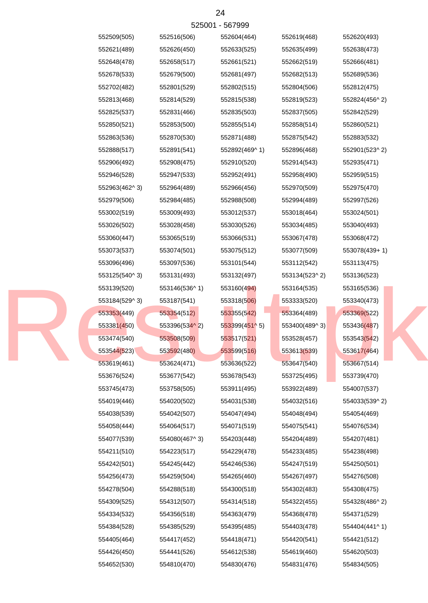|               |               | 525001 - 567999 |               |               |
|---------------|---------------|-----------------|---------------|---------------|
| 552509(505)   | 552516(506)   | 552604(464)     | 552619(468)   | 552620(493)   |
| 552621(489)   | 552626(450)   | 552633(525)     | 552635(499)   | 552638(473)   |
| 552648(478)   | 552658(517)   | 552661(521)     | 552662(519)   | 552666(481)   |
| 552678(533)   | 552679(500)   | 552681(497)     | 552682(513)   | 552689(536)   |
| 552702(482)   | 552801(529)   | 552802(515)     | 552804(506)   | 552812(475)   |
| 552813(468)   | 552814(529)   | 552815(538)     | 552819(523)   | 552824(456^2) |
| 552825(537)   | 552831(466)   | 552835(503)     | 552837(505)   | 552842(529)   |
| 552850(521)   | 552853(500)   | 552855(514)     | 552858(514)   | 552860(521)   |
| 552863(536)   | 552870(530)   | 552871(488)     | 552875(542)   | 552883(532)   |
| 552888(517)   | 552891(541)   | 552892(469^1)   | 552896(468)   | 552901(523^2) |
| 552906(492)   | 552908(475)   | 552910(520)     | 552914(543)   | 552935(471)   |
| 552946(528)   | 552947(533)   | 552952(491)     | 552958(490)   | 552959(515)   |
| 552963(462^3) | 552964(489)   | 552966(456)     | 552970(509)   | 552975(470)   |
| 552979(506)   | 552984(485)   | 552988(508)     | 552994(489)   | 552997(526)   |
| 553002(519)   | 553009(493)   | 553012(537)     | 553018(464)   | 553024(501)   |
| 553026(502)   | 553028(458)   | 553030(526)     | 553034(485)   | 553040(493)   |
| 553060(447)   | 553065(519)   | 553066(531)     | 553067(478)   | 553068(472)   |
| 553073(537)   | 553074(501)   | 553075(512)     | 553077(509)   | 553078(439+1) |
| 553096(496)   | 553097(536)   | 553101(544)     | 553112(542)   | 553113(475)   |
| 553125(540^3) | 553131(493)   | 553132(497)     | 553134(523^2) | 553136(523)   |
| 553139(520)   | 553146(536^1) | 553160(494)     | 553164(535)   | 553165(536)   |
| 553184(529^3) | 553187(541)   | 553318(506)     | 553333(520)   | 553340(473)   |
| 553353(449)   | 553354(512)   | 553355(542)     | 553364(489)   | 553369(522)   |
| 553381(450)   | 553396(534^2) | 553399(451^5)   | 553400(489^3) | 553436(487)   |
| 553474(540)   | 553508(509)   | 553517(521)     | 553528(457)   | 553543(542)   |
| 553544(523)   | 553592(480)   | 553599(516)     | 553613(539)   | 553617(464)   |
| 553619(461)   | 553624(471)   | 553636(522)     | 553647(540)   | 553667(514)   |
| 553676(524)   | 553677(542)   | 553678(543)     | 553725(495)   | 553739(470)   |
| 553745(473)   | 553758(505)   | 553911(495)     | 553922(489)   | 554007(537)   |
| 554019(446)   | 554020(502)   | 554031(538)     | 554032(516)   | 554033(539^2) |
| 554038(539)   | 554042(507)   | 554047(494)     | 554048(494)   | 554054(469)   |
| 554058(444)   | 554064(517)   | 554071(519)     | 554075(541)   | 554076(534)   |
| 554077(539)   | 554080(467^3) | 554203(448)     | 554204(489)   | 554207(481)   |
| 554211(510)   | 554223(517)   | 554229(478)     | 554233(485)   | 554238(498)   |
| 554242(501)   | 554245(442)   | 554246(536)     | 554247(519)   | 554250(501)   |
| 554256(473)   | 554259(504)   | 554265(460)     | 554267(497)   | 554276(508)   |
| 554278(504)   | 554288(518)   | 554300(518)     | 554302(483)   | 554308(475)   |
| 554309(525)   | 554312(507)   | 554314(518)     | 554322(455)   | 554328(486^2) |
| 554334(532)   | 554356(518)   | 554363(479)     | 554368(478)   | 554371(529)   |
| 554384(528)   | 554385(529)   | 554395(485)     | 554403(478)   | 554404(441^1) |
| 554405(464)   | 554417(452)   | 554418(471)     | 554420(541)   | 554421(512)   |
| 554426(450)   | 554441(526)   | 554612(538)     | 554619(460)   | 554620(503)   |
| 554652(530)   | 554810(470)   | 554830(476)     | 554831(476)   | 554834(505)   |

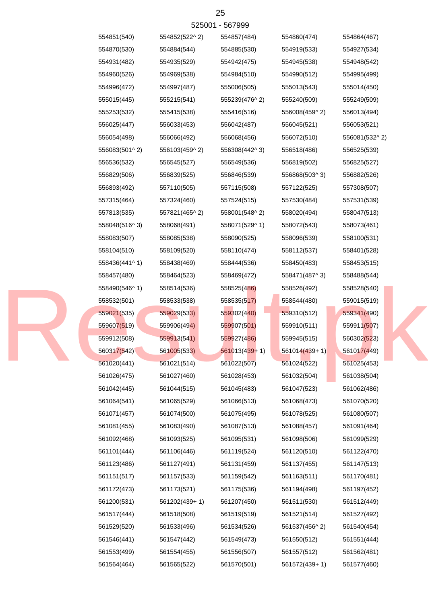| 554851(540)   | 554852(522^2) | 554857(484)     | 554860(474)   | 554864(467)   |
|---------------|---------------|-----------------|---------------|---------------|
| 554870(530)   | 554884(544)   | 554885(530)     | 554919(533)   | 554927(534)   |
| 554931(482)   | 554935(529)   | 554942(475)     | 554945(538)   | 554948(542)   |
| 554960(526)   | 554969(538)   | 554984(510)     | 554990(512)   | 554995(499)   |
| 554996(472)   | 554997(487)   | 555006(505)     | 555013(543)   | 555014(450)   |
| 555015(445)   | 555215(541)   | 555239(476^2)   | 555240(509)   | 555249(509)   |
| 555253(532)   | 555415(538)   | 555416(516)     | 556008(459^2) | 556013(494)   |
| 556025(447)   | 556033(453)   | 556042(487)     | 556045(521)   | 556053(521)   |
| 556054(498)   | 556066(492)   | 556068(456)     | 556072(510)   | 556081(532^2) |
| 556083(501^2) | 556103(459^2) | 556308(442^3)   | 556518(486)   | 556525(539)   |
| 556536(532)   | 556545(527)   | 556549(536)     | 556819(502)   | 556825(527)   |
| 556829(506)   | 556839(525)   | 556846(539)     | 556868(503^3) | 556882(526)   |
| 556893(492)   | 557110(505)   | 557115(508)     | 557122(525)   | 557308(507)   |
| 557315(464)   | 557324(460)   | 557524(515)     | 557530(484)   | 557531(539)   |
| 557813(535)   | 557821(465^2) | 558001(548^2)   | 558020(494)   | 558047(513)   |
| 558048(516^3) | 558068(491)   | 558071(529^1)   | 558072(543)   | 558073(461)   |
| 558083(507)   | 558085(538)   | 558090(525)     | 558096(539)   | 558100(531)   |
| 558104(510)   | 558109(520)   | 558110(474)     | 558112(537)   | 558401(528)   |
| 558436(441^1) | 558438(469)   | 558444(536)     | 558450(483)   | 558453(515)   |
| 558457(480)   | 558464(523)   | 558469(472)     | 558471(487^3) | 558488(544)   |
| 558490(546^1) | 558514(536)   | 558525(486)     | 558526(492)   | 558528(540)   |
| 558532(501)   | 558533(538)   | 558535(517)     | 558544(480)   | 559015(519)   |
| 559021(535)   | 559029(533)   | 559302(440)     | 559310(512)   | 559341(490)   |
| 559607(519)   | 559906(494)   | 559907(501)     | 559910(511)   | 559911(507)   |
| 559912(508)   | 559913(541)   | 559927(486)     | 559945(515)   | 560302(523)   |
| 560317(542)   | 561005(533)   | $561013(439+1)$ | 561014(439+1) | 561017(449)   |
| 561020(441)   | 561021(514)   | 561022(507)     | 561024(522)   | 561025(453)   |
| 561026(475)   | 561027(460)   | 561028(453)     | 561032(504)   | 561038(504)   |
| 561042(445)   | 561044(515)   | 561045(483)     | 561047(523)   | 561062(486)   |
| 561064(541)   | 561065(529)   | 561066(513)     | 561068(473)   | 561070(520)   |
| 561071(457)   | 561074(500)   | 561075(495)     | 561078(525)   | 561080(507)   |
| 561081(455)   | 561083(490)   | 561087(513)     | 561088(457)   | 561091(464)   |
| 561092(468)   | 561093(525)   | 561095(531)     | 561098(506)   | 561099(529)   |
| 561101(444)   | 561106(446)   | 561119(524)     | 561120(510)   | 561122(470)   |
| 561123(486)   | 561127(491)   | 561131(459)     | 561137(455)   | 561147(513)   |
| 561151(517)   | 561157(533)   | 561159(542)     | 561163(511)   | 561170(481)   |
| 561172(473)   | 561173(521)   | 561175(536)     | 561194(498)   | 561197(452)   |
| 561200(531)   | 561202(439+1) | 561207(450)     | 561511(530)   | 561512(449)   |
| 561517(444)   | 561518(508)   | 561519(519)     | 561521(514)   | 561527(492)   |
| 561529(520)   | 561533(496)   | 561534(526)     | 561537(456^2) | 561540(454)   |
| 561546(441)   | 561547(442)   | 561549(473)     | 561550(512)   | 561551(444)   |
| 561553(499)   | 561554(455)   | 561556(507)     | 561557(512)   | 561562(481)   |
| 561564(464)   | 561565(522)   | 561570(501)     | 561572(439+1) | 561577(460)   |
|               |               |                 |               |               |

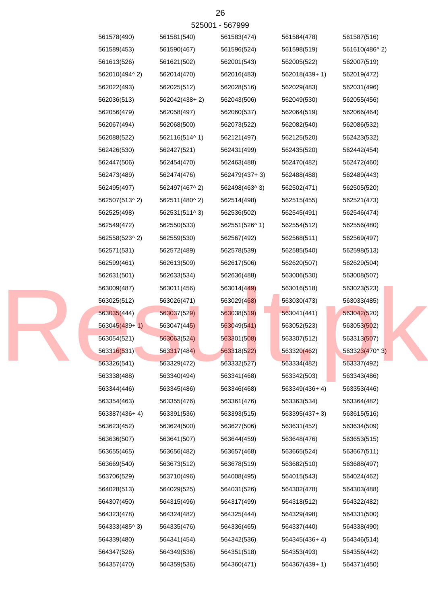| 561578(490)     | 561581(540)   | 561583(474)   | 561584(478)   | 561587(516)   |
|-----------------|---------------|---------------|---------------|---------------|
| 561589(453)     | 561590(467)   | 561596(524)   | 561598(519)   | 561610(486^2) |
| 561613(526)     | 561621(502)   | 562001(543)   | 562005(522)   | 562007(519)   |
| 562010(494^2)   | 562014(470)   | 562016(483)   | 562018(439+1) | 562019(472)   |
| 562022(493)     | 562025(512)   | 562028(516)   | 562029(483)   | 562031(496)   |
| 562036(513)     | 562042(438+2) | 562043(506)   | 562049(530)   | 562055(456)   |
| 562056(479)     | 562058(497)   | 562060(537)   | 562064(519)   | 562066(464)   |
| 562067(494)     | 562068(500)   | 562073(522)   | 562082(540)   | 562086(532)   |
| 562088(522)     | 562116(514^1) | 562121(497)   | 562125(520)   | 562423(532)   |
| 562426(530)     | 562427(521)   | 562431(499)   | 562435(520)   | 562442(454)   |
| 562447(506)     | 562454(470)   | 562463(488)   | 562470(482)   | 562472(460)   |
| 562473(489)     | 562474(476)   | 562479(437+3) | 562488(488)   | 562489(443)   |
| 562495(497)     | 562497(467^2) | 562498(463^3) | 562502(471)   | 562505(520)   |
| 562507(513^2)   | 562511(480^2) | 562514(498)   | 562515(455)   | 562521(473)   |
| 562525(498)     | 562531(511^3) | 562536(502)   | 562545(491)   | 562546(474)   |
| 562549(472)     | 562550(533)   | 562551(526^1) | 562554(512)   | 562556(480)   |
| 562558(523^2)   | 562559(530)   | 562567(492)   | 562568(511)   | 562569(497)   |
| 562571(531)     | 562572(489)   | 562578(539)   | 562585(540)   | 562598(513)   |
| 562599(461)     | 562613(509)   | 562617(506)   | 562620(507)   | 562629(504)   |
| 562631(501)     | 562633(534)   | 562636(488)   | 563006(530)   | 563008(507)   |
| 563009(487)     | 563011(456)   | 563014(449)   | 563016(518)   | 563023(523)   |
| 563025(512)     | 563026(471)   | 563029(468)   | 563030(473)   | 563033(485)   |
| 563035(444)     | 563037(529)   | 563038(519)   | 563041(441)   | 563042(520)   |
| $563045(439+1)$ | 563047(445)   | 563049(541)   | 563052(523)   | 563053(502)   |
| 563054(521)     | 563063(524)   | 563301(508)   | 563307(512)   | 563313(507)   |
| 563316(531)     | 563317(484)   | 563318(522)   | 563320(462)   | 563323(470^3) |
| 563326(541)     | 563329(472)   | 563332(527)   | 563334(482)   | 563337(492)   |
| 563338(488)     | 563340(494)   | 563341(468)   | 563342(503)   | 563343(486)   |
| 563344(446)     | 563345(486)   | 563346(468)   | 563349(436+4) | 563353(446)   |
| 563354(463)     | 563355(476)   | 563361(476)   | 563363(534)   | 563364(482)   |
| 563387(436+4)   | 563391(536)   | 563393(515)   | 563395(437+3) | 563615(516)   |
| 563623(452)     | 563624(500)   | 563627(506)   | 563631(452)   | 563634(509)   |
| 563636(507)     | 563641(507)   | 563644(459)   | 563648(476)   | 563653(515)   |
| 563655(465)     | 563656(482)   | 563657(468)   | 563665(524)   | 563667(511)   |
| 563669(540)     | 563673(512)   | 563678(519)   | 563682(510)   | 563688(497)   |
| 563706(529)     | 563710(496)   | 564008(495)   | 564015(543)   | 564024(462)   |
| 564028(513)     | 564029(525)   | 564031(526)   | 564302(478)   | 564303(488)   |
| 564307(450)     | 564315(496)   | 564317(499)   | 564318(512)   | 564322(482)   |
| 564323(478)     | 564324(482)   | 564325(444)   | 564329(498)   | 564331(500)   |
| 564333(485^3)   | 564335(476)   | 564336(465)   | 564337(440)   | 564338(490)   |
| 564339(480)     | 564341(454)   | 564342(536)   | 564345(436+4) | 564346(514)   |
| 564347(526)     | 564349(536)   | 564351(518)   | 564353(493)   | 564356(442)   |
| 564357(470)     | 564359(536)   | 564360(471)   | 564367(439+1) | 564371(450)   |

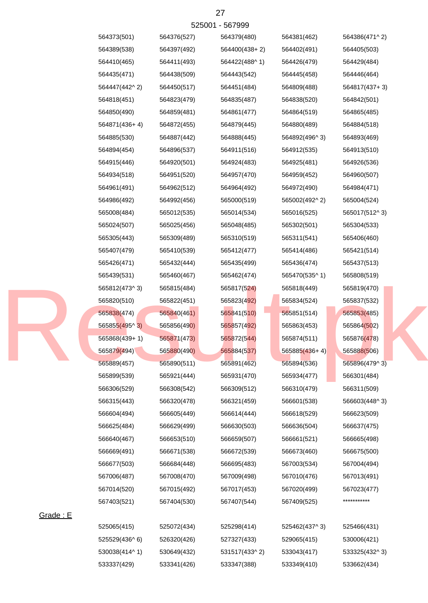|          | 564373(501)   | 564376(527) | 564379(480)   | 564381(462)     | 564386(471^2) |
|----------|---------------|-------------|---------------|-----------------|---------------|
|          | 564389(538)   | 564397(492) | 564400(438+2) | 564402(491)     | 564405(503)   |
|          | 564410(465)   | 564411(493) | 564422(488^1) | 564426(479)     | 564429(484)   |
|          | 564435(471)   | 564438(509) | 564443(542)   | 564445(458)     | 564446(464)   |
|          | 564447(442^2) | 564450(517) | 564451(484)   | 564809(488)     | 564817(437+3) |
|          | 564818(451)   | 564823(479) | 564835(487)   | 564838(520)     | 564842(501)   |
|          | 564850(490)   | 564859(481) | 564861(477)   | 564864(519)     | 564865(485)   |
|          | 564871(436+4) | 564872(455) | 564879(445)   | 564880(489)     | 564884(518)   |
|          | 564885(530)   | 564887(442) | 564888(445)   | 564892(496^3)   | 564893(469)   |
|          | 564894(454)   | 564896(537) | 564911(516)   | 564912(535)     | 564913(510)   |
|          | 564915(446)   | 564920(501) | 564924(483)   | 564925(481)     | 564926(536)   |
|          | 564934(518)   | 564951(520) | 564957(470)   | 564959(452)     | 564960(507)   |
|          | 564961(491)   | 564962(512) | 564964(492)   | 564972(490)     | 564984(471)   |
|          | 564986(492)   | 564992(456) | 565000(519)   | 565002(492^2)   | 565004(524)   |
|          | 565008(484)   | 565012(535) | 565014(534)   | 565016(525)     | 565017(512^3) |
|          | 565024(507)   | 565025(456) | 565048(485)   | 565302(501)     | 565304(533)   |
|          | 565305(443)   | 565309(489) | 565310(519)   | 565311(541)     | 565406(460)   |
|          | 565407(479)   | 565410(539) | 565412(477)   | 565414(486)     | 565421(514)   |
|          | 565426(471)   | 565432(444) | 565435(499)   | 565436(474)     | 565437(513)   |
|          | 565439(531)   | 565460(467) | 565462(474)   | 565470(535^1)   | 565808(519)   |
|          | 565812(473^3) | 565815(484) | 565817(524)   | 565818(449)     | 565819(470)   |
|          | 565820(510)   | 565822(451) | 565823(492)   | 565834(524)     | 565837(532)   |
|          | 565838(474)   | 565840(461) | 565841(510)   | 565851(514)     | 565853(485)   |
|          | 565855(495^3) | 565856(490) | 565857(492)   | 565863(453)     | 565864(502)   |
|          | 565868(439+1) | 565871(473) | 565872(544)   | 565874(511)     | 565876(478)   |
|          | 565879(494)   | 565880(490) | 565884(537)   | $565885(436+4)$ | 565888(506)   |
|          | 565889(457)   | 565890(511) | 565891(462)   | 565894(536)     | 565896(479^3) |
|          | 565899(539)   | 565921(444) | 565931(470)   | 565934(477)     | 566301(484)   |
|          | 566306(529)   | 566308(542) | 566309(512)   | 566310(479)     | 566311(509)   |
|          | 566315(443)   | 566320(478) | 566321(459)   | 566601(538)     | 566603(448^3) |
|          | 566604(494)   | 566605(449) | 566614(444)   | 566618(529)     | 566623(509)   |
|          | 566625(484)   | 566629(499) | 566630(503)   | 566636(504)     | 566637(475)   |
|          | 566640(467)   | 566653(510) | 566659(507)   | 566661(521)     | 566665(498)   |
|          | 566669(491)   | 566671(538) | 566672(539)   | 566673(460)     | 566675(500)   |
|          | 566677(503)   | 566684(448) | 566695(483)   | 567003(534)     | 567004(494)   |
|          | 567006(487)   | 567008(470) | 567009(498)   | 567010(476)     | 567013(491)   |
|          | 567014(520)   | 567015(492) | 567017(453)   | 567020(499)     | 567023(477)   |
|          | 567403(521)   | 567404(530) | 567407(544)   | 567409(525)     | ***********   |
| Grade: E |               |             |               |                 |               |
|          | 525065(415)   | 525072(434) | 525298(414)   | 525462(437^3)   | 525466(431)   |
|          | 525529(436^6) | 526320(426) | 527327(433)   | 529065(415)     | 530006(421)   |
|          | 530038(414^1) | 530649(432) | 531517(433^2) | 533043(417)     | 533325(432^3) |
|          | 533337(429)   | 533341(426) | 533347(388)   | 533349(410)     | 533662(434)   |

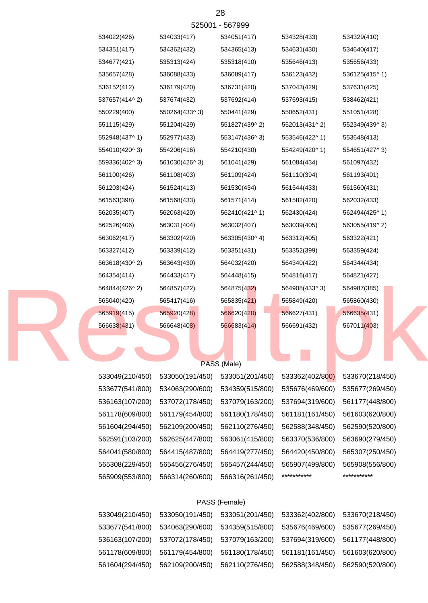| 533049(210/450) | 533050(191/450) | 533051(201/450) | 533362(402/800) | 533670(218/450) |
|-----------------|-----------------|-----------------|-----------------|-----------------|
| 533677(541/800) | 534063(290/600) | 534359(515/800) | 535676(469/600) | 535677(269/450) |
| 536163(107/200) | 537072(178/450) | 537079(163/200) | 537694(319/600) | 561177(448/800) |
| 561178(609/800) | 561179(454/800) | 561180(178/450) | 561181(161/450) | 561603(620/800) |
| 561604(294/450) | 562109(200/450) | 562110(276/450) | 562588(348/450) | 562590(520/800) |

## PASS (Female)

| 564844(426^2)   | 564857(422)     | 564875(432)     | 564908(433^3)   | 564987(385)     |
|-----------------|-----------------|-----------------|-----------------|-----------------|
| 565040(420)     | 565417(416)     | 565835(421)     | 565849(420)     | 565860(430)     |
| 565919(415)     | 565920(428)     | 566620(420)     | 566627(431)     | 566635(431)     |
| 566638(431)     | 566648(408)     | 566683(414)     | 566691(432)     | 567011(403)     |
|                 |                 | PASS (Male)     |                 |                 |
| 533049(210/450) | 533050(191/450) | 533051(201/450) | 533362(402/800) | 533670(218/450) |
| 533677(541/800) | 534063(290/600) | 534359(515/800) | 535676(469/600) | 535677(269/450) |
| 536163(107/200) | 537072(178/450) | 537079(163/200) | 537694(319/600) | 561177(448/800) |
| 561178(609/800) | 561179(454/800) | 561180(178/450) | 561181(161/450) | 561603(620/800) |
| 561604(294/450) | 562109(200/450) | 562110(276/450) | 562588(348/450) | 562590(520/800) |
| 562591(103/200) | 562625(447/800) | 563061(415/800) | 563370(536/800) | 563690(279/450) |
| 564041(580/800) | 564415(487/800) | 564419(277/450) | 564420(450/800) | 565307(250/450) |
| 565308(229/450) | 565456(276/450) | 565457(244/450) | 565907(499/800) | 565908(556/800) |
| 565909(553/800) | 566314(260/600) | 566316(261/450) | ***********     | ***********     |
|                 |                 |                 |                 |                 |

564354(414) 564433(417) 564448(415) 564816(417) 564821(427)

| 536152(412)   | 536179(420)   | 536731(420)   | 537043(429)   | 537631(425)   |
|---------------|---------------|---------------|---------------|---------------|
| 537657(414^2) | 537674(432)   | 537692(414)   | 537693(415)   | 538462(421)   |
| 550229(400)   | 550264(433^3) | 550441(429)   | 550652(431)   | 551051(428)   |
| 551115(429)   | 551204(429)   | 551827(439^2) | 552013(431^2) | 552349(439^3) |
| 552948(437^1) | 552977(433)   | 553147(436^3) | 553546(422^1) | 553648(413)   |
| 554010(420^3) | 554206(416)   | 554210(430)   | 554249(420^1) | 554651(427^3) |
| 559336(402^3) | 561030(426^3) | 561041(429)   | 561084(434)   | 561097(432)   |
| 561100(426)   | 561108(403)   | 561109(424)   | 561110(394)   | 561193(401)   |
| 561203(424)   | 561524(413)   | 561530(434)   | 561544(433)   | 561560(431)   |
| 561563(398)   | 561568(433)   | 561571(414)   | 561582(420)   | 562032(433)   |
| 562035(407)   | 562063(420)   | 562410(421^1) | 562430(424)   | 562494(425^1) |
| 562526(406)   | 563031(404)   | 563032(407)   | 563039(405)   | 563055(419^2) |
| 563062(417)   | 563302(420)   | 563305(430^4) | 563312(405)   | 563322(421)   |
| 563327(412)   | 563339(412)   | 563351(431)   | 563352(399)   | 563359(424)   |
| 563618(430^2) | 563643(430)   | 564032(420)   | 564340(422)   | 564344(434)   |

525001 - 567999

534677(421) 535313(424) 535318(410) 535646(413) 535656(433) 535657(428) 536088(433) 536089(417) 536123(432) 536125(415^ 1)

534022(426) 534033(417) 534051(417) 534328(433) 534329(410) 534351(417) 534362(432) 534365(413) 534631(430) 534640(417)